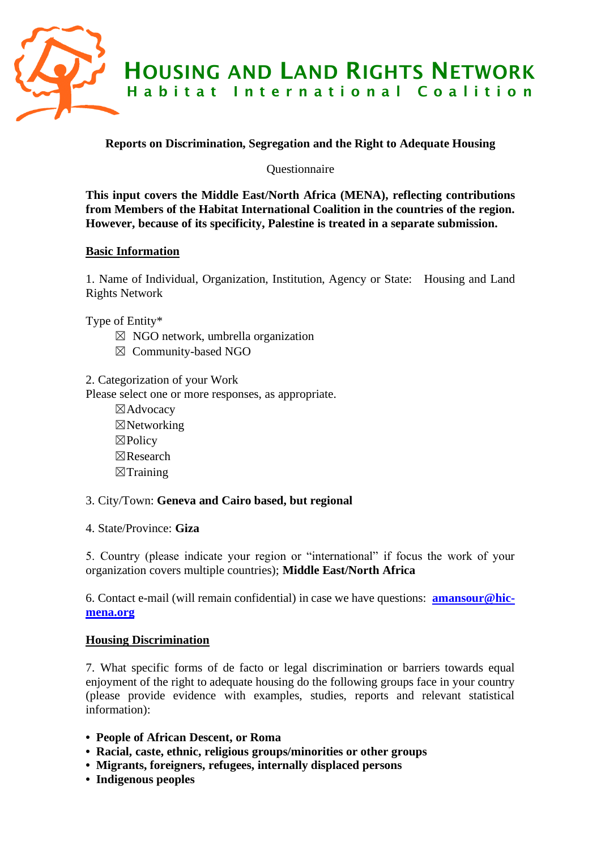

# **Reports on Discrimination, Segregation and the Right to Adequate Housing**

**Ouestionnaire** 

**This input covers the Middle East/North Africa (MENA), reflecting contributions from Members of the Habitat International Coalition in the countries of the region. However, because of its specificity, Palestine is treated in a separate submission.**

## **Basic Information**

1. Name of Individual, Organization, Institution, Agency or State: Housing and Land Rights Network

Type of Entity\*

- $\boxtimes$  NGO network, umbrella organization
- ☒ Community-based NGO
- 2. Categorization of your Work

Please select one or more responses, as appropriate.

☒Advocacy ☒Networking ☒Policy ☒Research  $\boxtimes$ Training

### 3. City/Town: **Geneva and Cairo based, but regional**

4. State/Province: **Giza**

5. Country (please indicate your region or "international" if focus the work of your organization covers multiple countries); **Middle East/North Africa**

6. Contact e-mail (will remain confidential) in case we have questions: **[amansour@hic](mailto:amansour@hic-mena.org)[mena.org](mailto:amansour@hic-mena.org)**

### **Housing Discrimination**

7. What specific forms of de facto or legal discrimination or barriers towards equal enjoyment of the right to adequate housing do the following groups face in your country (please provide evidence with examples, studies, reports and relevant statistical information):

- **People of African Descent, or Roma**
- **Racial, caste, ethnic, religious groups/minorities or other groups**
- **Migrants, foreigners, refugees, internally displaced persons**
- **Indigenous peoples**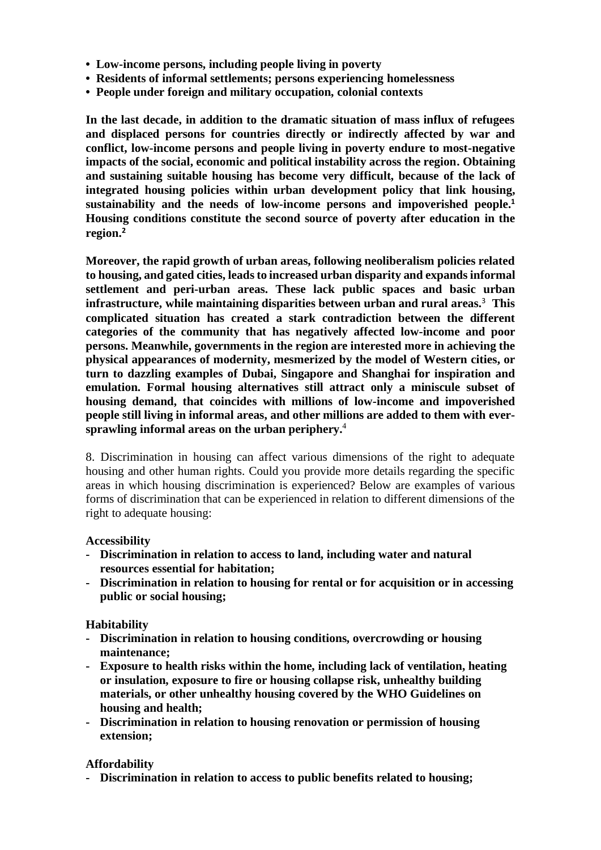- **Low-income persons, including people living in poverty**
- **Residents of informal settlements; persons experiencing homelessness**
- **People under foreign and military occupation, colonial contexts**

**In the last decade, in addition to the dramatic situation of mass influx of refugees and displaced persons for countries directly or indirectly affected by war and conflict, low-income persons and people living in poverty endure to most-negative impacts of the social, economic and political instability across the region. Obtaining and sustaining suitable housing has become very difficult, because of the lack of integrated housing policies within urban development policy that link housing, sustainability and the needs of low-income persons and impoverished people. 1 Housing conditions constitute the second source of poverty after education in the region. 2**

**Moreover, the rapid growth of urban areas, following neoliberalism policies related to housing, and gated cities, leadsto increased urban disparity and expandsinformal settlement and peri-urban areas. These lack public spaces and basic urban infrastructure, while maintaining disparities between urban and rural areas.**<sup>3</sup>  **This complicated situation has created a stark contradiction between the different categories of the community that has negatively affected low-income and poor persons. Meanwhile, governments in the region are interested more in achieving the physical appearances of modernity, mesmerized by the model of Western cities, or turn to dazzling examples of Dubai, Singapore and Shanghai for inspiration and emulation. Formal housing alternatives still attract only a miniscule subset of housing demand, that coincides with millions of low-income and impoverished people still living in informal areas, and other millions are added to them with eversprawling informal areas on the urban periphery.** 4 

8. Discrimination in housing can affect various dimensions of the right to adequate housing and other human rights. Could you provide more details regarding the specific areas in which housing discrimination is experienced? Below are examples of various forms of discrimination that can be experienced in relation to different dimensions of the right to adequate housing:

### **Accessibility**

- **- Discrimination in relation to access to land, including water and natural resources essential for habitation;**
- **- Discrimination in relation to housing for rental or for acquisition or in accessing public or social housing;**

### **Habitability**

- **- Discrimination in relation to housing conditions, overcrowding or housing maintenance;**
- **- Exposure to health risks within the home, including lack of ventilation, heating or insulation, exposure to fire or housing collapse risk, unhealthy building materials, or other unhealthy housing covered by the WHO Guidelines on housing and health;**
- **- Discrimination in relation to housing renovation or permission of housing extension;**

### **Affordability**

**- Discrimination in relation to access to public benefits related to housing;**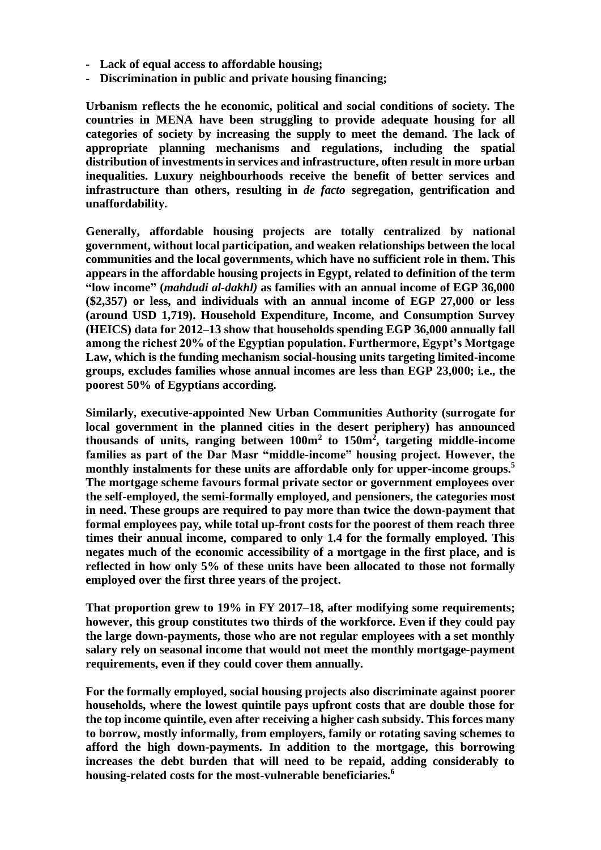- **- Lack of equal access to affordable housing;**
- **- Discrimination in public and private housing financing;**

**Urbanism reflects the he economic, political and social conditions of society. The countries in MENA have been struggling to provide adequate housing for all categories of society by increasing the supply to meet the demand. The lack of appropriate planning mechanisms and regulations, including the spatial distribution of investments in services and infrastructure, often result in more urban inequalities. Luxury neighbourhoods receive the benefit of better services and infrastructure than others, resulting in** *de facto* **segregation, gentrification and unaffordability.** 

**Generally, affordable housing projects are totally centralized by national government, without local participation, and weaken relationships between the local communities and the local governments, which have no sufficient role in them. This appears in the affordable housing projects in Egypt, related to definition of the term "low income" (***mahdudi al-dakhl)* **as families with an annual income of EGP 36,000 (\$2,357) or less, and individuals with an annual income of EGP 27,000 or less (around USD 1,719). Household Expenditure, Income, and Consumption Survey (HEICS) data for 2012–13 show that households spending EGP 36,000 annually fall among the richest 20% of the Egyptian population. Furthermore, Egypt's Mortgage Law, which is the funding mechanism social-housing units targeting limited-income groups, excludes families whose annual incomes are less than EGP 23,000; i.e., the poorest 50% of Egyptians according.**

**Similarly, executive-appointed New Urban Communities Authority (surrogate for local government in the planned cities in the desert periphery) has announced thousands of units, ranging between 100m<sup>2</sup> to 150m<sup>2</sup> , targeting middle-income families as part of the Dar Masr "middle-income" housing project. However, the monthly instalments for these units are affordable only for upper-income groups.<sup>5</sup> The mortgage scheme favours formal private sector or government employees over the self-employed, the semi-formally employed, and pensioners, the categories most in need. These groups are required to pay more than twice the down-payment that formal employees pay, while total up-front costs for the poorest of them reach three times their annual income, compared to only 1.4 for the formally employed. This negates much of the economic accessibility of a mortgage in the first place, and is reflected in how only 5% of these units have been allocated to those not formally employed over the first three years of the project.** 

**That proportion grew to 19% in FY 2017–18, after modifying some requirements; however, this group constitutes two thirds of the workforce. Even if they could pay the large down-payments, those who are not regular employees with a set monthly salary rely on seasonal income that would not meet the monthly mortgage-payment requirements, even if they could cover them annually.** 

**For the formally employed, social housing projects also discriminate against poorer households, where the lowest quintile pays upfront costs that are double those for the top income quintile, even after receiving a higher cash subsidy. This forces many to borrow, mostly informally, from employers, family or rotating saving schemes to afford the high down-payments. In addition to the mortgage, this borrowing increases the debt burden that will need to be repaid, adding considerably to housing-related costs for the most-vulnerable beneficiaries.<sup>6</sup>**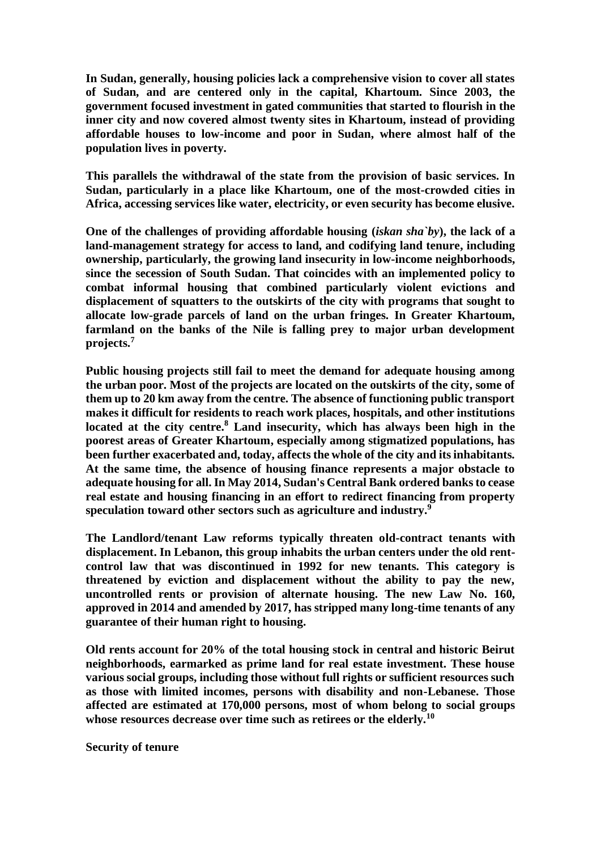**In Sudan, generally, housing policies lack a comprehensive vision to cover all states of Sudan, and are centered only in the capital, Khartoum. Since 2003, the government focused investment in gated communities that started to flourish in the inner city and now covered almost twenty sites in Khartoum, instead of providing affordable houses to low-income and poor in Sudan, where almost half of the population lives in poverty.** 

**This parallels the withdrawal of the state from the provision of basic services. In Sudan, particularly in a place like Khartoum, one of the most-crowded cities in Africa, accessing services like water, electricity, or even security has become elusive.**

**One of the challenges of providing affordable housing (***iskan sha`by***), the lack of a land-management strategy for access to land, and codifying land tenure, including ownership, particularly, the growing land insecurity in low-income neighborhoods, since the secession of South Sudan. That coincides with an implemented policy to combat informal housing that combined particularly violent evictions and displacement of squatters to the outskirts of the city with programs that sought to allocate low-grade parcels of land on the urban fringes. In Greater Khartoum, farmland on the banks of the Nile is falling prey to major urban development projects.<sup>7</sup>**

**Public housing projects still fail to meet the demand for adequate housing among the urban poor. Most of the projects are located on the outskirts of the city, some of them up to 20 km away from the centre. The absence of functioning public transport makes it difficult for residents to reach work places, hospitals, and other institutions located at the city centre.<sup>8</sup> Land insecurity, which has always been high in the poorest areas of Greater Khartoum, especially among stigmatized populations, has been further exacerbated and, today, affects the whole of the city and its inhabitants. At the same time, the absence of housing finance represents a major obstacle to adequate housing for all. In May 2014, Sudan's Central Bank ordered banks to cease real estate and housing financing in an effort to redirect financing from property speculation toward other sectors such as agriculture and industry.<sup>9</sup>**

**The Landlord/tenant Law reforms typically threaten old-contract tenants with displacement. In Lebanon, this group inhabits the urban centers under the old rentcontrol law that was discontinued in 1992 for new tenants. This category is threatened by eviction and displacement without the ability to pay the new, uncontrolled rents or provision of alternate housing. The new Law No. 160, approved in 2014 and amended by 2017, has stripped many long-time tenants of any guarantee of their human right to housing.**

**Old rents account for 20% of the total housing stock in central and historic Beirut neighborhoods, earmarked as prime land for real estate investment. These house various social groups, including those without full rights or sufficient resources such as those with limited incomes, persons with disability and non-Lebanese. Those affected are estimated at 170,000 persons, most of whom belong to social groups whose resources decrease over time such as retirees or the elderly.<sup>10</sup>**

**Security of tenure**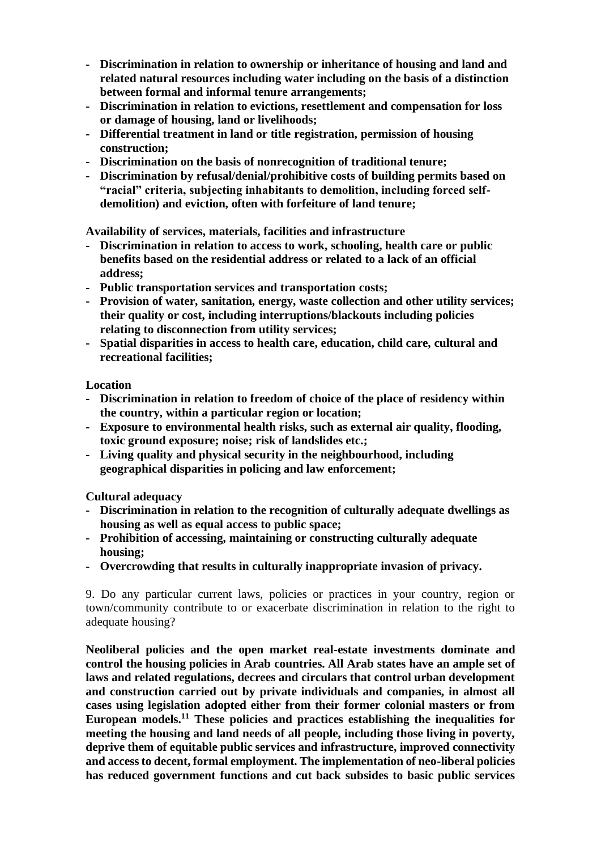- **- Discrimination in relation to ownership or inheritance of housing and land and related natural resources including water including on the basis of a distinction between formal and informal tenure arrangements;**
- **- Discrimination in relation to evictions, resettlement and compensation for loss or damage of housing, land or livelihoods;**
- **- Differential treatment in land or title registration, permission of housing construction;**
- **- Discrimination on the basis of nonrecognition of traditional tenure;**
- **- Discrimination by refusal/denial/prohibitive costs of building permits based on "racial" criteria, subjecting inhabitants to demolition, including forced selfdemolition) and eviction, often with forfeiture of land tenure;**

**Availability of services, materials, facilities and infrastructure** 

- **- Discrimination in relation to access to work, schooling, health care or public benefits based on the residential address or related to a lack of an official address;**
- **- Public transportation services and transportation costs;**
- **- Provision of water, sanitation, energy, waste collection and other utility services; their quality or cost, including interruptions/blackouts including policies relating to disconnection from utility services;**
- **- Spatial disparities in access to health care, education, child care, cultural and recreational facilities;**

**Location**

- **- Discrimination in relation to freedom of choice of the place of residency within the country, within a particular region or location;**
- **- Exposure to environmental health risks, such as external air quality, flooding, toxic ground exposure; noise; risk of landslides etc.;**
- **- Living quality and physical security in the neighbourhood, including geographical disparities in policing and law enforcement;**

**Cultural adequacy**

- **- Discrimination in relation to the recognition of culturally adequate dwellings as housing as well as equal access to public space;**
- **- Prohibition of accessing, maintaining or constructing culturally adequate housing;**
- **- Overcrowding that results in culturally inappropriate invasion of privacy.**

9. Do any particular current laws, policies or practices in your country, region or town/community contribute to or exacerbate discrimination in relation to the right to adequate housing?

**Neoliberal policies and the open market real-estate investments dominate and control the housing policies in Arab countries. All Arab states have an ample set of laws and related regulations, decrees and circulars that control urban development and construction carried out by private individuals and companies, in almost all cases using legislation adopted either from their former colonial masters or from European models.<sup>11</sup> These policies and practices establishing the inequalities for meeting the housing and land needs of all people, including those living in poverty, deprive them of equitable public services and infrastructure, improved connectivity and access to decent, formal employment. The implementation of neo-liberal policies has reduced government functions and cut back subsides to basic public services**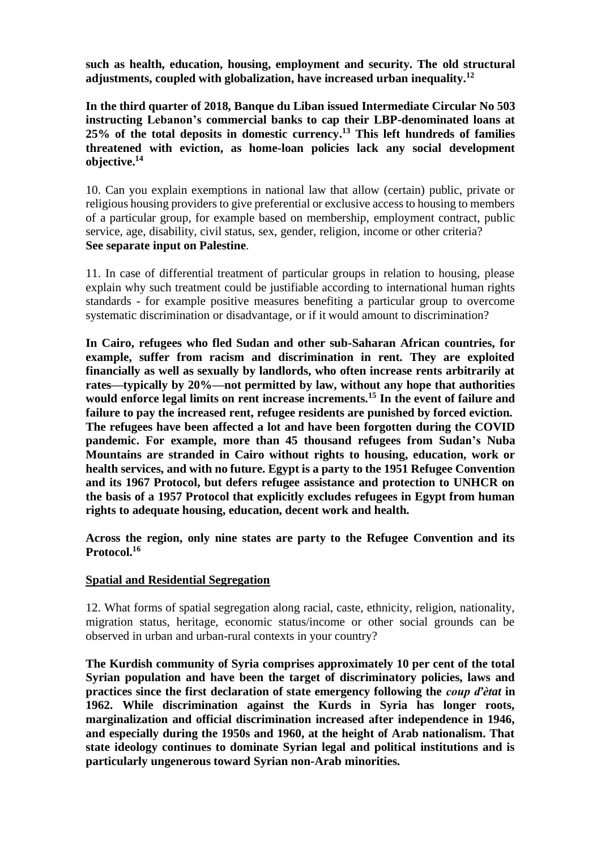**such as health, education, housing, employment and security. The old structural adjustments, coupled with globalization, have increased urban inequality.<sup>12</sup>**

**In the third quarter of 2018, Banque du Liban issued Intermediate Circular No 503 instructing Lebanon's commercial banks to cap their LBP-denominated loans at 25% of the total deposits in domestic currency. <sup>13</sup> This left hundreds of families threatened with eviction, as home-loan policies lack any social development objective. 14**

10. Can you explain exemptions in national law that allow (certain) public, private or religious housing providers to give preferential or exclusive access to housing to members of a particular group, for example based on membership, employment contract, public service, age, disability, civil status, sex, gender, religion, income or other criteria? **See separate input on Palestine**.

11. In case of differential treatment of particular groups in relation to housing, please explain why such treatment could be justifiable according to international human rights standards - for example positive measures benefiting a particular group to overcome systematic discrimination or disadvantage, or if it would amount to discrimination?

**In Cairo, refugees who fled Sudan and other sub-Saharan African countries, for example, suffer from racism and discrimination in rent. They are exploited financially as well as sexually by landlords, who often increase rents arbitrarily at rates—typically by 20%—not permitted by law, without any hope that authorities would enforce legal limits on rent increase increments.<sup>15</sup> In the event of failure and failure to pay the increased rent, refugee residents are punished by forced eviction. The refugees have been affected a lot and have been forgotten during the COVID pandemic. For example, more than 45 thousand refugees from Sudan's Nuba Mountains are stranded in Cairo without rights to housing, education, work or health services, and with no future. Egypt is a party to the 1951 Refugee Convention and its 1967 Protocol, but defers refugee assistance and protection to UNHCR on the basis of a 1957 Protocol that explicitly excludes refugees in Egypt from human rights to adequate housing, education, decent work and health.** 

**Across the region, only nine states are party to the Refugee Convention and its Protocol.<sup>16</sup>**

### **Spatial and Residential Segregation**

12. What forms of spatial segregation along racial, caste, ethnicity, religion, nationality, migration status, heritage, economic status/income or other social grounds can be observed in urban and urban-rural contexts in your country?

**The Kurdish community of Syria comprises approximately 10 per cent of the total Syrian population and have been the target of discriminatory policies, laws and practices since the first declaration of state emergency following the** *coup ďètat* **in 1962. While discrimination against the Kurds in Syria has longer roots, marginalization and official discrimination increased after independence in 1946, and especially during the 1950s and 1960, at the height of Arab nationalism. That state ideology continues to dominate Syrian legal and political institutions and is particularly ungenerous toward Syrian non-Arab minorities.**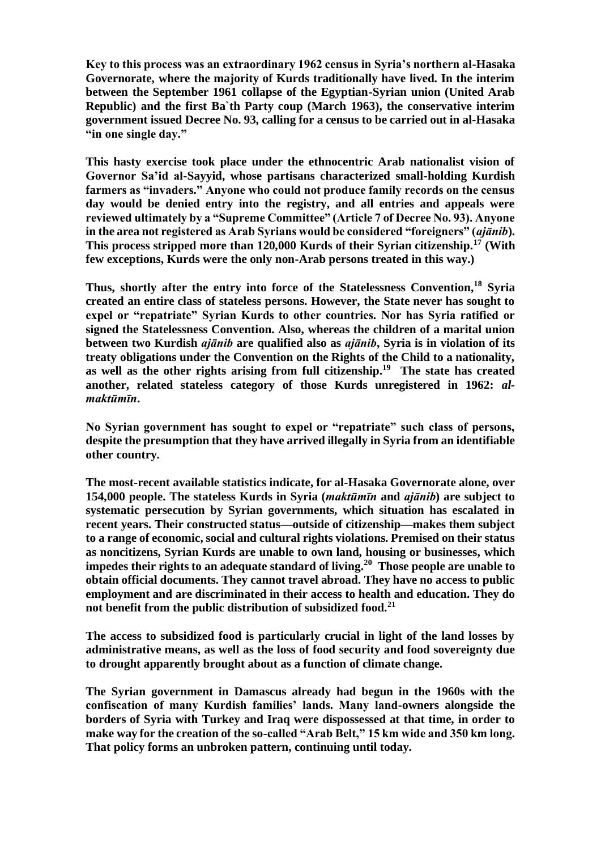**Key to this process was an extraordinary 1962 census in Syria's northern al-Hasaka Governorate, where the majority of Kurds traditionally have lived. In the interim between the September 1961 collapse of the Egyptian-Syrian union (United Arab Republic) and the first Ba`th Party coup (March 1963), the conservative interim government issued Decree No. 93, calling for a census to be carried out in al-Hasaka "in one single day."** 

**This hasty exercise took place under the ethnocentric Arab nationalist vision of Governor Sa'id al-Sayyid, whose partisans characterized small-holding Kurdish farmers as "invaders." Anyone who could not produce family records on the census day would be denied entry into the registry, and all entries and appeals were reviewed ultimately by a "Supreme Committee" (Article 7 of Decree No. 93). Anyone in the area not registered as Arab Syrians would be considered "foreigners" (***ajānib***). This process stripped more than 120,000 Kurds of their Syrian citizenship.<sup>17</sup> (With few exceptions, Kurds were the only non-Arab persons treated in this way.)** 

**Thus, shortly after the entry into force of the Statelessness Convention,<sup>18</sup> Syria created an entire class of stateless persons. However, the State never has sought to expel or "repatriate" Syrian Kurds to other countries. Nor has Syria ratified or signed the Statelessness Convention. Also, whereas the children of a marital union between two Kurdish** *ajānib* **are qualified also as** *ajānib***, Syria is in violation of its treaty obligations under the Convention on the Rights of the Child to a nationality, as well as the other rights arising from full citizenship.<sup>19</sup> The state has created another, related stateless category of those Kurds unregistered in 1962:** *almaktūmīn***.** 

**No Syrian government has sought to expel or "repatriate" such class of persons, despite the presumption that they have arrived illegally in Syria from an identifiable other country.** 

**The most-recent available statistics indicate, for al-Hasaka Governorate alone, over 154,000 people. The stateless Kurds in Syria (***maktūmīn* **and** *ajānib***) are subject to systematic persecution by Syrian governments, which situation has escalated in recent years. Their constructed status—outside of citizenship—makes them subject to a range of economic, social and cultural rights violations. Premised on their status as noncitizens, Syrian Kurds are unable to own land, housing or businesses, which impedes their rights to an adequate standard of living.<sup>20</sup> Those people are unable to obtain official documents. They cannot travel abroad. They have no access to public employment and are discriminated in their access to health and education. They do not benefit from the public distribution of subsidized food.<sup>21</sup>**

**The access to subsidized food is particularly crucial in light of the land losses by administrative means, as well as the loss of food security and food sovereignty due to drought apparently brought about as a function of climate change.** 

**The Syrian government in Damascus already had begun in the 1960s with the confiscation of many Kurdish families' lands. Many land-owners alongside the borders of Syria with Turkey and Iraq were dispossessed at that time, in order to make way for the creation of the so-called "Arab Belt," 15 km wide and 350 km long. That policy forms an unbroken pattern, continuing until today.**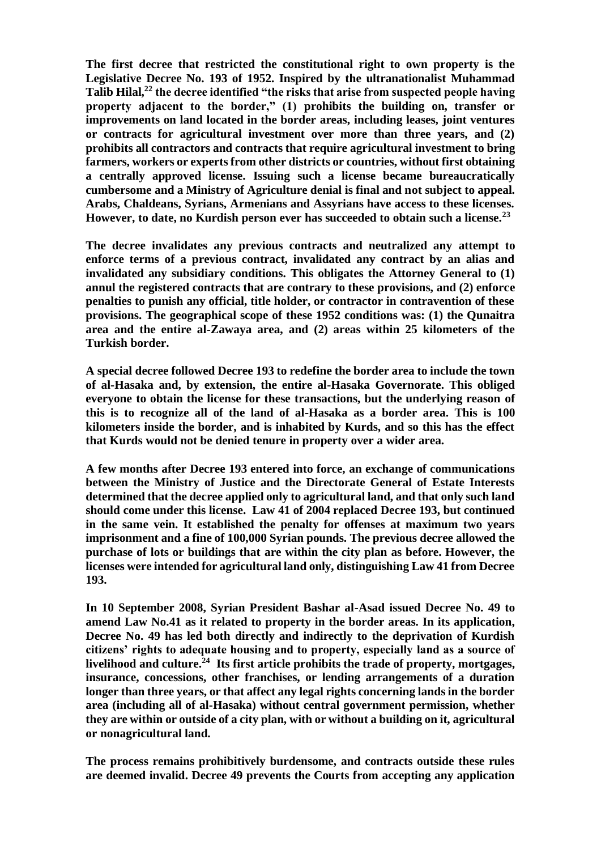**The first decree that restricted the constitutional right to own property is the Legislative Decree No. 193 of 1952. Inspired by the ultranationalist Muhammad Talib Hilal,<sup>22</sup> the decree identified "the risks that arise from suspected people having property adjacent to the border," (1) prohibits the building on, transfer or improvements on land located in the border areas, including leases, joint ventures or contracts for agricultural investment over more than three years, and (2) prohibits all contractors and contracts that require agricultural investment to bring farmers, workers or experts from other districts or countries, without first obtaining a centrally approved license. Issuing such a license became bureaucratically cumbersome and a Ministry of Agriculture denial is final and not subject to appeal. Arabs, Chaldeans, Syrians, Armenians and Assyrians have access to these licenses. However, to date, no Kurdish person ever has succeeded to obtain such a license.<sup>23</sup>** 

**The decree invalidates any previous contracts and neutralized any attempt to enforce terms of a previous contract, invalidated any contract by an alias and invalidated any subsidiary conditions. This obligates the Attorney General to (1) annul the registered contracts that are contrary to these provisions, and (2) enforce penalties to punish any official, title holder, or contractor in contravention of these provisions. The geographical scope of these 1952 conditions was: (1) the Qunaitra area and the entire al-Zawaya area, and (2) areas within 25 kilometers of the Turkish border.**

**A special decree followed Decree 193 to redefine the border area to include the town of al-Hasaka and, by extension, the entire al-Hasaka Governorate. This obliged everyone to obtain the license for these transactions, but the underlying reason of this is to recognize all of the land of al-Hasaka as a border area. This is 100 kilometers inside the border, and is inhabited by Kurds, and so this has the effect that Kurds would not be denied tenure in property over a wider area.**

**A few months after Decree 193 entered into force, an exchange of communications between the Ministry of Justice and the Directorate General of Estate Interests determined that the decree applied only to agricultural land, and that only such land should come under this license. Law 41 of 2004 replaced Decree 193, but continued in the same vein. It established the penalty for offenses at maximum two years imprisonment and a fine of 100,000 Syrian pounds. The previous decree allowed the purchase of lots or buildings that are within the city plan as before. However, the licenses were intended for agricultural land only, distinguishing Law 41 from Decree 193.**

**In 10 September 2008, Syrian President Bashar al-Asad issued Decree No. 49 to amend Law No.41 as it related to property in the border areas. In its application, Decree No. 49 has led both directly and indirectly to the deprivation of Kurdish citizens' rights to adequate housing and to property, especially land as a source of livelihood and culture.<sup>24</sup> Its first article prohibits the trade of property, mortgages, insurance, concessions, other franchises, or lending arrangements of a duration longer than three years, or that affect any legal rights concerning lands in the border area (including all of al-Hasaka) without central government permission, whether they are within or outside of a city plan, with or without a building on it, agricultural or nonagricultural land.**

**The process remains prohibitively burdensome, and contracts outside these rules are deemed invalid. Decree 49 prevents the Courts from accepting any application**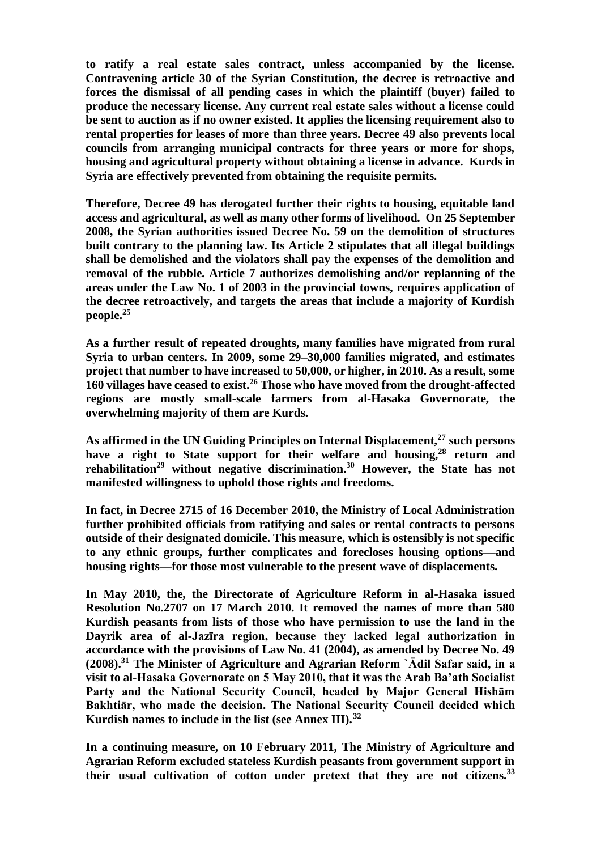**to ratify a real estate sales contract, unless accompanied by the license. Contravening article 30 of the Syrian Constitution, the decree is retroactive and forces the dismissal of all pending cases in which the plaintiff (buyer) failed to produce the necessary license. Any current real estate sales without a license could be sent to auction as if no owner existed. It applies the licensing requirement also to rental properties for leases of more than three years. Decree 49 also prevents local councils from arranging municipal contracts for three years or more for shops, housing and agricultural property without obtaining a license in advance. Kurds in Syria are effectively prevented from obtaining the requisite permits.** 

**Therefore, Decree 49 has derogated further their rights to housing, equitable land access and agricultural, as well as many other forms of livelihood. On 25 September 2008, the Syrian authorities issued Decree No. 59 on the demolition of structures built contrary to the planning law. Its Article 2 stipulates that all illegal buildings shall be demolished and the violators shall pay the expenses of the demolition and removal of the rubble. Article 7 authorizes demolishing and/or replanning of the areas under the Law No. 1 of 2003 in the provincial towns, requires application of the decree retroactively, and targets the areas that include a majority of Kurdish people.<sup>25</sup>**

**As a further result of repeated droughts, many families have migrated from rural Syria to urban centers. In 2009, some 29–30,000 families migrated, and estimates project that number to have increased to 50,000, or higher, in 2010. As a result, some 160 villages have ceased to exist.<sup>26</sup> Those who have moved from the drought-affected regions are mostly small-scale farmers from al-Hasaka Governorate, the overwhelming majority of them are Kurds.**

**As affirmed in the UN Guiding Principles on Internal Displacement,<sup>27</sup> such persons have a right to State support for their welfare and housing,<sup>28</sup> return and rehabilitation<sup>29</sup> without negative discrimination.<sup>30</sup> However, the State has not manifested willingness to uphold those rights and freedoms.**

**In fact, in Decree 2715 of 16 December 2010, the Ministry of Local Administration further prohibited officials from ratifying and sales or rental contracts to persons outside of their designated domicile. This measure, which is ostensibly is not specific to any ethnic groups, further complicates and forecloses housing options—and housing rights—for those most vulnerable to the present wave of displacements.**

**In May 2010, the, the Directorate of Agriculture Reform in al-Hasaka issued Resolution No.2707 on 17 March 2010. It removed the names of more than 580 Kurdish peasants from lists of those who have permission to use the land in the Dayrik area of al-Jazīra region, because they lacked legal authorization in accordance with the provisions of Law No. 41 (2004), as amended by Decree No. 49 (2008).<sup>31</sup> The Minister of Agriculture and Agrarian Reform `Ādil Safar said, in a visit to al-Hasaka Governorate on 5 May 2010, that it was the Arab Ba'ath Socialist Party and the National Security Council, headed by Major General Hishām Bakhtiār, who made the decision. The National Security Council decided which Kurdish names to include in the list (see Annex III).<sup>32</sup>**

**In a continuing measure, on 10 February 2011, The Ministry of Agriculture and Agrarian Reform excluded stateless Kurdish peasants from government support in their usual cultivation of cotton under pretext that they are not citizens.<sup>33</sup>**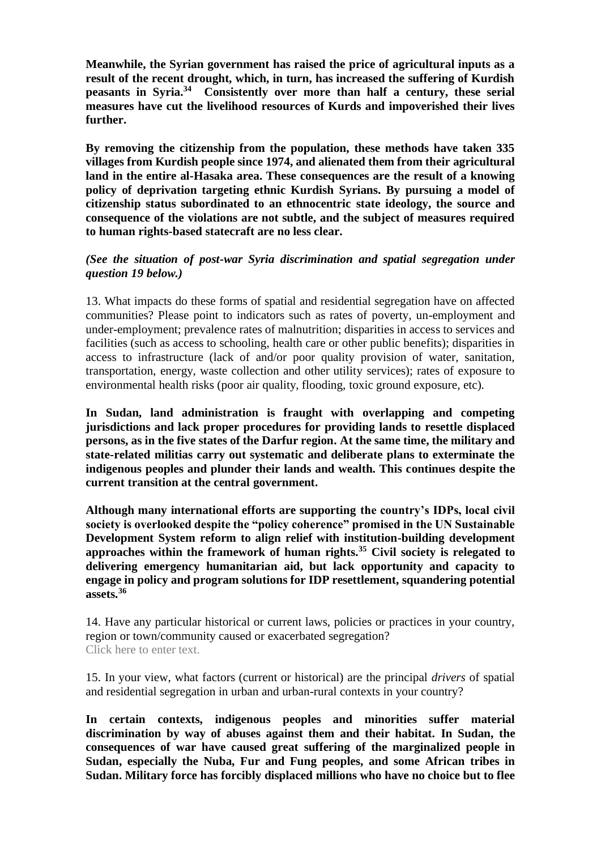**Meanwhile, the Syrian government has raised the price of agricultural inputs as a result of the recent drought, which, in turn, has increased the suffering of Kurdish peasants in Syria.<sup>34</sup> Consistently over more than half a century, these serial measures have cut the livelihood resources of Kurds and impoverished their lives further.**

**By removing the citizenship from the population, these methods have taken 335 villages from Kurdish people since 1974, and alienated them from their agricultural land in the entire al-Hasaka area. These consequences are the result of a knowing policy of deprivation targeting ethnic Kurdish Syrians. By pursuing a model of citizenship status subordinated to an ethnocentric state ideology, the source and consequence of the violations are not subtle, and the subject of measures required to human rights-based statecraft are no less clear.**

## *(See the situation of post-war Syria discrimination and spatial segregation under question 19 below.)*

13. What impacts do these forms of spatial and residential segregation have on affected communities? Please point to indicators such as rates of poverty, un-employment and under-employment; prevalence rates of malnutrition; disparities in access to services and facilities (such as access to schooling, health care or other public benefits); disparities in access to infrastructure (lack of and/or poor quality provision of water, sanitation, transportation, energy, waste collection and other utility services); rates of exposure to environmental health risks (poor air quality, flooding, toxic ground exposure, etc).

**In Sudan, land administration is fraught with overlapping and competing jurisdictions and lack proper procedures for providing lands to resettle displaced persons, as in the five states of the Darfur region. At the same time, the military and state-related militias carry out systematic and deliberate plans to exterminate the indigenous peoples and plunder their lands and wealth. This continues despite the current transition at the central government.**

**Although many international efforts are supporting the country's IDPs, local civil society is overlooked despite the "policy coherence" promised in the UN Sustainable Development System reform to align relief with institution-building development approaches within the framework of human rights.<sup>35</sup> Civil society is relegated to delivering emergency humanitarian aid, but lack opportunity and capacity to engage in policy and program solutions for IDP resettlement, squandering potential assets.<sup>36</sup>**

14. Have any particular historical or current laws, policies or practices in your country, region or town/community caused or exacerbated segregation? Click here to enter text.

15. In your view, what factors (current or historical) are the principal *drivers* of spatial and residential segregation in urban and urban-rural contexts in your country?

**In certain contexts, indigenous peoples and minorities suffer material discrimination by way of abuses against them and their habitat. In Sudan, the consequences of war have caused great suffering of the marginalized people in Sudan, especially the Nuba, Fur and Fung peoples, and some African tribes in Sudan. Military force has forcibly displaced millions who have no choice but to flee**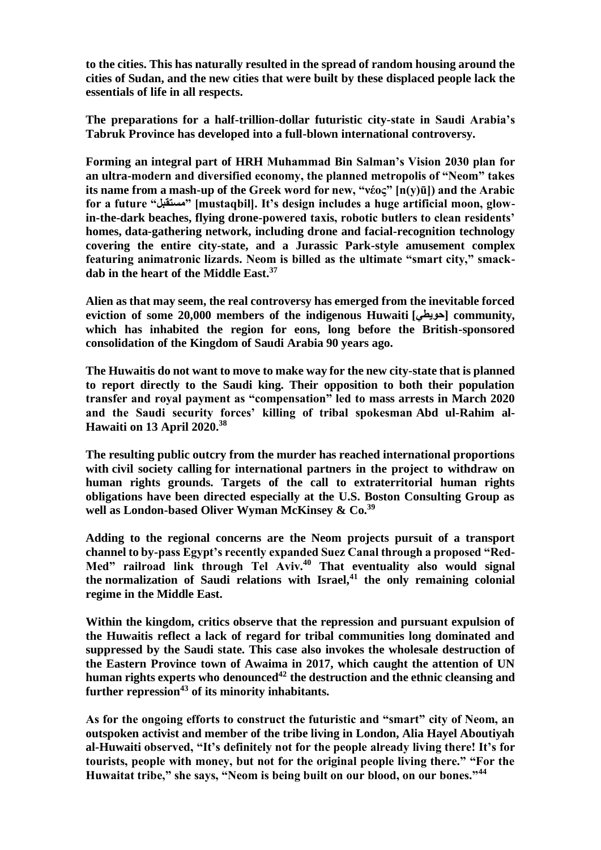**to the cities. This has naturally resulted in the spread of random housing around the cities of Sudan, and the new cities that were built by these displaced people lack the essentials of life in all respects.**

**The preparations for a half-trillion-dollar futuristic city-state in Saudi Arabia's Tabruk Province has developed into a full-blown international controversy.**

**Forming an integral part of HRH Muhammad Bin Salman's Vision 2030 plan for an ultra-modern and diversified economy, the planned metropolis of "Neom" takes its name from a mash-up of the Greek word for new, "νέος" [n(y)ū]) and the Arabic for a future "مستقبل] "mustaqbil]. It's design includes a huge artificial moon, glowin-the-dark beaches, flying drone-powered taxis, robotic butlers to clean residents' homes, data-gathering network, including drone and facial-recognition technology covering the entire city-state, and a Jurassic Park-style amusement complex featuring animatronic lizards. Neom is billed as the ultimate "smart city," smackdab in the heart of the Middle East.<sup>37</sup>**

**Alien as that may seem, the real controversy has emerged from the inevitable forced eviction of some 20,000 members of the indigenous Huwaiti [حويطي [community, which has inhabited the region for eons, long before the British-sponsored consolidation of the Kingdom of Saudi Arabia 90 years ago.**

**The Huwaitis do not want to move to make way for the new city-state that is planned to report directly to the Saudi king. Their opposition to both their population transfer and royal payment as "compensation" led to mass arrests in March 2020 and the Saudi security forces' killing of tribal spokesman Abd ul-Rahim al-Hawaiti on 13 April 2020.<sup>38</sup>**

**The resulting public outcry from the murder has reached international proportions with civil society calling for international partners in the project to withdraw on human rights grounds. Targets of the call to extraterritorial human rights obligations have been directed especially at the U.S. Boston Consulting Group as well as London-based Oliver Wyman McKinsey & Co.<sup>39</sup>**

**Adding to the regional concerns are the Neom projects pursuit of a transport channel to by-pass Egypt's recently expanded Suez Canal through a proposed "Red-Med" railroad link through Tel Aviv.<sup>40</sup> That eventuality also would signal the normalization of Saudi relations with Israel,<sup>41</sup> the only remaining colonial regime in the Middle East.**

**Within the kingdom, critics observe that the repression and pursuant expulsion of the Huwaitis reflect a lack of regard for tribal communities long dominated and suppressed by the Saudi state. This case also invokes the wholesale destruction of the Eastern Province town of Awaima in 2017, which caught the attention of UN human rights experts who denounced<sup>42</sup> the destruction and the ethnic cleansing and further repression<sup>43</sup> of its minority inhabitants.**

**As for the ongoing efforts to construct the futuristic and "smart" city of Neom, an outspoken activist and member of the tribe living in London, Alia Hayel Aboutiyah al-Huwaiti observed, "It's definitely not for the people already living there! It's for tourists, people with money, but not for the original people living there." "For the Huwaitat tribe," she says, "Neom is being built on our blood, on our bones."<sup>44</sup>**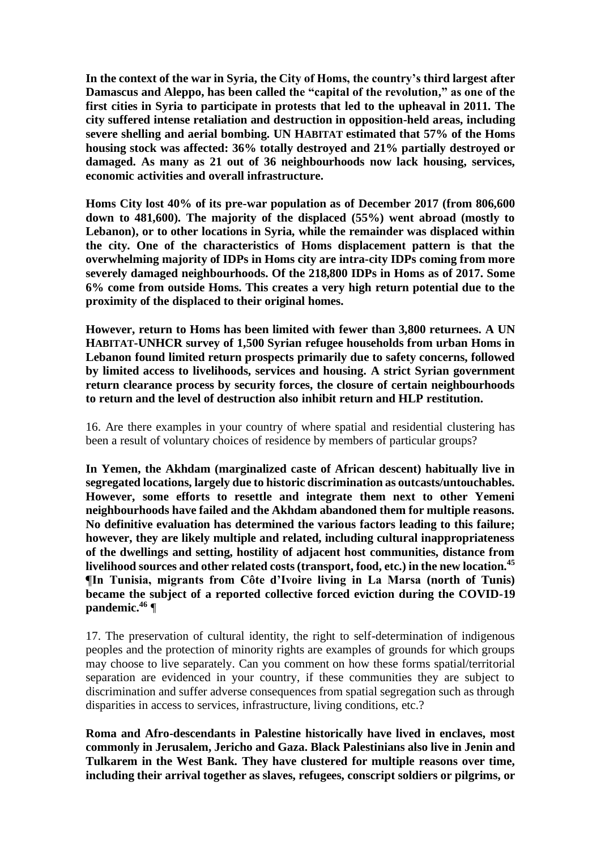**In the context of the war in Syria, the City of Homs, the country's third largest after Damascus and Aleppo, has been called the "capital of the revolution," as one of the first cities in Syria to participate in protests that led to the upheaval in 2011. The city suffered intense retaliation and destruction in opposition-held areas, including severe shelling and aerial bombing. UN HABITAT estimated that 57% of the Homs housing stock was affected: 36% totally destroyed and 21% partially destroyed or damaged. As many as 21 out of 36 neighbourhoods now lack housing, services, economic activities and overall infrastructure.** 

**Homs City lost 40% of its pre-war population as of December 2017 (from 806,600 down to 481,600). The majority of the displaced (55%) went abroad (mostly to Lebanon), or to other locations in Syria, while the remainder was displaced within the city. One of the characteristics of Homs displacement pattern is that the overwhelming majority of IDPs in Homs city are intra-city IDPs coming from more severely damaged neighbourhoods. Of the 218,800 IDPs in Homs as of 2017. Some 6% come from outside Homs. This creates a very high return potential due to the proximity of the displaced to their original homes.**

**However, return to Homs has been limited with fewer than 3,800 returnees. A UN HABITAT-UNHCR survey of 1,500 Syrian refugee households from urban Homs in Lebanon found limited return prospects primarily due to safety concerns, followed by limited access to livelihoods, services and housing. A strict Syrian government return clearance process by security forces, the closure of certain neighbourhoods to return and the level of destruction also inhibit return and HLP restitution.**

16. Are there examples in your country of where spatial and residential clustering has been a result of voluntary choices of residence by members of particular groups?

**In Yemen, the Akhdam (marginalized caste of African descent) habitually live in segregated locations, largely due to historic discrimination as outcasts/untouchables. However, some efforts to resettle and integrate them next to other Yemeni neighbourhoods have failed and the Akhdam abandoned them for multiple reasons. No definitive evaluation has determined the various factors leading to this failure; however, they are likely multiple and related, including cultural inappropriateness of the dwellings and setting, hostility of adjacent host communities, distance from livelihood sources and other related costs (transport, food, etc.) in the new location.<sup>45</sup> ¶In Tunisia, migrants from Côte d'Ivoire living in La Marsa (north of Tunis) became the subject of a reported collective forced eviction during the COVID-19 pandemic.<sup>46</sup>** ¶

17. The preservation of cultural identity, the right to self-determination of indigenous peoples and the protection of minority rights are examples of grounds for which groups may choose to live separately. Can you comment on how these forms spatial/territorial separation are evidenced in your country, if these communities they are subject to discrimination and suffer adverse consequences from spatial segregation such as through disparities in access to services, infrastructure, living conditions, etc.?

**Roma and Afro-descendants in Palestine historically have lived in enclaves, most commonly in Jerusalem, Jericho and Gaza. Black Palestinians also live in Jenin and Tulkarem in the West Bank. They have clustered for multiple reasons over time, including their arrival together as slaves, refugees, conscript soldiers or pilgrims, or**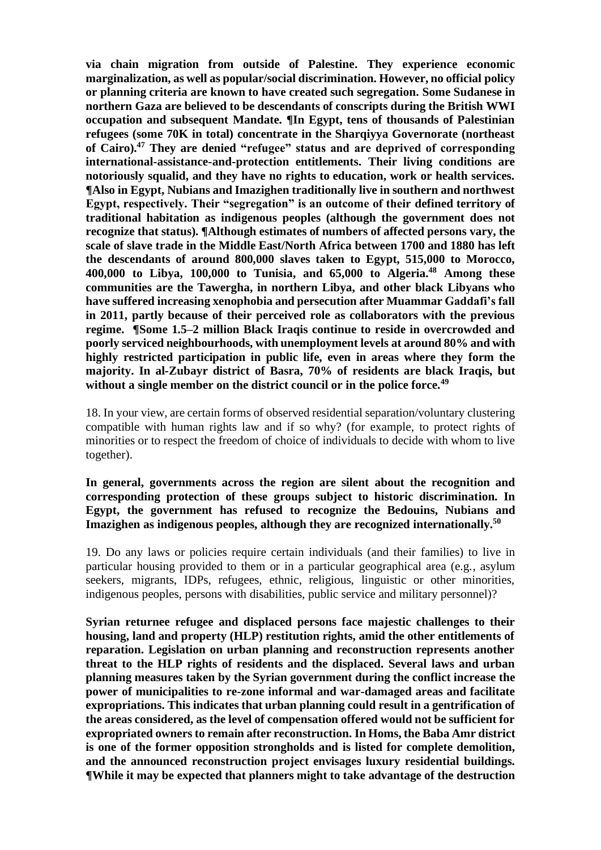**via chain migration from outside of Palestine. They experience economic marginalization, as well as popular/social discrimination. However, no official policy or planning criteria are known to have created such segregation. Some Sudanese in northern Gaza are believed to be descendants of conscripts during the British WWI occupation and subsequent Mandate. ¶In Egypt, tens of thousands of Palestinian refugees (some 70K in total) concentrate in the Sharqiyya Governorate (northeast of Cairo).<sup>47</sup> They are denied "refugee" status and are deprived of corresponding international-assistance-and-protection entitlements. Their living conditions are notoriously squalid, and they have no rights to education, work or health services. ¶Also in Egypt, Nubians and Imazighen traditionally live in southern and northwest Egypt, respectively. Their "segregation" is an outcome of their defined territory of traditional habitation as indigenous peoples (although the government does not recognize that status). ¶Although estimates of numbers of affected persons vary, the scale of slave trade in the Middle East/North Africa between 1700 and 1880 has left the descendants of around 800,000 slaves taken to Egypt, 515,000 to Morocco, 400,000 to Libya, 100,000 to Tunisia, and 65,000 to Algeria.<sup>48</sup> Among these communities are the Tawergha, in northern Libya, and other black Libyans who have suffered increasing xenophobia and persecution after Muammar Gaddafi's fall in 2011, partly because of their perceived role as collaborators with the previous regime. ¶Some 1.5–2 million Black Iraqis continue to reside in overcrowded and poorly serviced neighbourhoods, with unemployment levels at around 80% and with highly restricted participation in public life, even in areas where they form the majority. In al-Zubayr district of Basra, 70% of residents are black Iraqis, but without a single member on the district council or in the police force.<sup>49</sup>**

18. In your view, are certain forms of observed residential separation/voluntary clustering compatible with human rights law and if so why? (for example, to protect rights of minorities or to respect the freedom of choice of individuals to decide with whom to live together).

**In general, governments across the region are silent about the recognition and corresponding protection of these groups subject to historic discrimination. In Egypt, the government has refused to recognize the Bedouins, Nubians and Imazighen as indigenous peoples, although they are recognized internationally. 50**

19. Do any laws or policies require certain individuals (and their families) to live in particular housing provided to them or in a particular geographical area (e.g., asylum seekers, migrants, IDPs, refugees, ethnic, religious, linguistic or other minorities, indigenous peoples, persons with disabilities, public service and military personnel)?

**Syrian returnee refugee and displaced persons face majestic challenges to their housing, land and property (HLP) restitution rights, amid the other entitlements of reparation. Legislation on urban planning and reconstruction represents another threat to the HLP rights of residents and the displaced. Several laws and urban planning measures taken by the Syrian government during the conflict increase the power of municipalities to re-zone informal and war-damaged areas and facilitate expropriations. This indicates that urban planning could result in a gentrification of the areas considered, as the level of compensation offered would not be sufficient for expropriated owners to remain after reconstruction. In Homs, the Baba Amr district is one of the former opposition strongholds and is listed for complete demolition, and the announced reconstruction project envisages luxury residential buildings. ¶While it may be expected that planners might to take advantage of the destruction**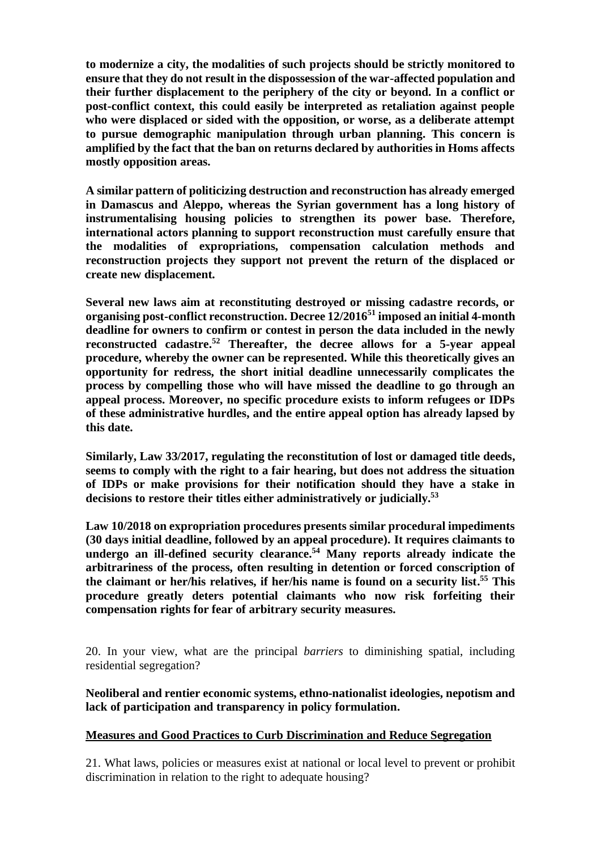**to modernize a city, the modalities of such projects should be strictly monitored to ensure that they do not result in the dispossession of the war-affected population and their further displacement to the periphery of the city or beyond. In a conflict or post-conflict context, this could easily be interpreted as retaliation against people who were displaced or sided with the opposition, or worse, as a deliberate attempt to pursue demographic manipulation through urban planning. This concern is amplified by the fact that the ban on returns declared by authorities in Homs affects mostly opposition areas.** 

**A similar pattern of politicizing destruction and reconstruction has already emerged in Damascus and Aleppo, whereas the Syrian government has a long history of instrumentalising housing policies to strengthen its power base. Therefore, international actors planning to support reconstruction must carefully ensure that the modalities of expropriations, compensation calculation methods and reconstruction projects they support not prevent the return of the displaced or create new displacement.** 

**Several new laws aim at reconstituting destroyed or missing cadastre records, or organising post-conflict reconstruction. Decree 12/2016<sup>51</sup> imposed an initial 4-month deadline for owners to confirm or contest in person the data included in the newly reconstructed cadastre. <sup>52</sup> Thereafter, the decree allows for a 5-year appeal procedure, whereby the owner can be represented. While this theoretically gives an opportunity for redress, the short initial deadline unnecessarily complicates the process by compelling those who will have missed the deadline to go through an appeal process. Moreover, no specific procedure exists to inform refugees or IDPs of these administrative hurdles, and the entire appeal option has already lapsed by this date.**

**Similarly, Law 33/2017, regulating the reconstitution of lost or damaged title deeds, seems to comply with the right to a fair hearing, but does not address the situation of IDPs or make provisions for their notification should they have a stake in decisions to restore their titles either administratively or judicially. 53**

**Law 10/2018 on expropriation procedures presents similar procedural impediments (30 days initial deadline, followed by an appeal procedure). It requires claimants to undergo an ill-defined security clearance. <sup>54</sup> Many reports already indicate the arbitrariness of the process, often resulting in detention or forced conscription of the claimant or her/his relatives, if her/his name is found on a security list. <sup>55</sup> This procedure greatly deters potential claimants who now risk forfeiting their compensation rights for fear of arbitrary security measures.**

20. In your view, what are the principal *barriers* to diminishing spatial, including residential segregation?

**Neoliberal and rentier economic systems, ethno-nationalist ideologies, nepotism and lack of participation and transparency in policy formulation.**

# **Measures and Good Practices to Curb Discrimination and Reduce Segregation**

21. What laws, policies or measures exist at national or local level to prevent or prohibit discrimination in relation to the right to adequate housing?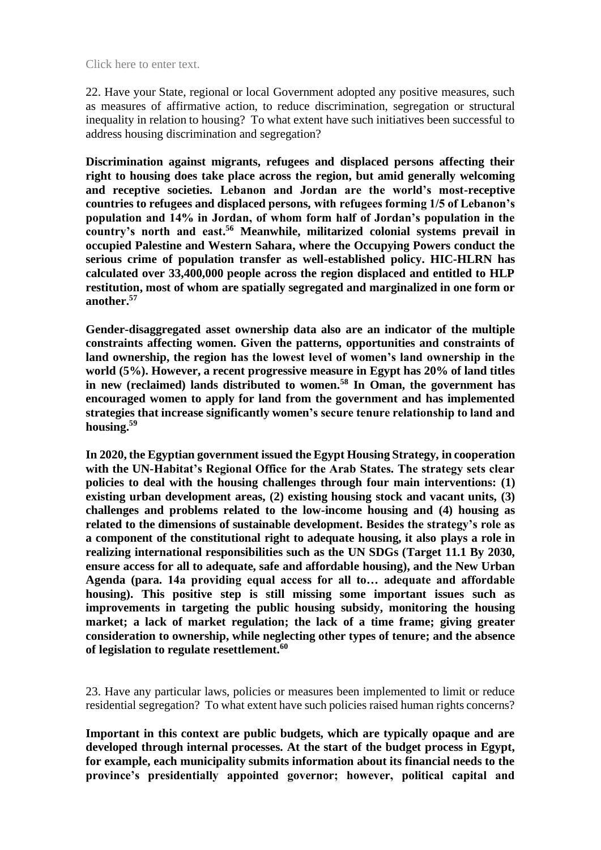22. Have your State, regional or local Government adopted any positive measures, such as measures of affirmative action, to reduce discrimination, segregation or structural inequality in relation to housing? To what extent have such initiatives been successful to address housing discrimination and segregation?

**Discrimination against migrants, refugees and displaced persons affecting their right to housing does take place across the region, but amid generally welcoming and receptive societies. Lebanon and Jordan are the world's most-receptive countries to refugees and displaced persons, with refugees forming 1/5 of Lebanon's population and 14% in Jordan, of whom form half of Jordan's population in the country's north and east. <sup>56</sup> Meanwhile, militarized colonial systems prevail in occupied Palestine and Western Sahara, where the Occupying Powers conduct the serious crime of population transfer as well-established policy. HIC-HLRN has calculated over 33,400,000 people across the region displaced and entitled to HLP restitution, most of whom are spatially segregated and marginalized in one form or another. 57**

**Gender-disaggregated asset ownership data also are an indicator of the multiple constraints affecting women. Given the patterns, opportunities and constraints of land ownership, the region has the lowest level of women's land ownership in the world (5%). However, a recent progressive measure in Egypt has 20% of land titles in new (reclaimed) lands distributed to women.<sup>58</sup> In Oman, the government has encouraged women to apply for land from the government and has implemented strategies that increase significantly women's secure tenure relationship to land and housing.<sup>59</sup>**

**In 2020, the Egyptian government issued the Egypt Housing Strategy, in cooperation with the UN-Habitat's Regional Office for the Arab States. The strategy sets clear policies to deal with the housing challenges through four main interventions: (1) existing urban development areas, (2) existing housing stock and vacant units, (3) challenges and problems related to the low-income housing and (4) housing as related to the dimensions of sustainable development. Besides the strategy's role as a component of the constitutional right to adequate housing, it also plays a role in realizing international responsibilities such as the UN SDGs (Target 11.1 By 2030, ensure access for all to adequate, safe and affordable housing), and the New Urban Agenda (para. 14a providing equal access for all to… adequate and affordable housing). This positive step is still missing some important issues such as improvements in targeting the public housing subsidy, monitoring the housing market; a lack of market regulation; the lack of a time frame; giving greater consideration to ownership, while neglecting other types of tenure; and the absence of legislation to regulate resettlement.<sup>60</sup>**

23. Have any particular laws, policies or measures been implemented to limit or reduce residential segregation? To what extent have such policies raised human rights concerns?

**Important in this context are public budgets, which are typically opaque and are developed through internal processes. At the start of the budget process in Egypt, for example, each municipality submits information about its financial needs to the province's presidentially appointed governor; however, political capital and**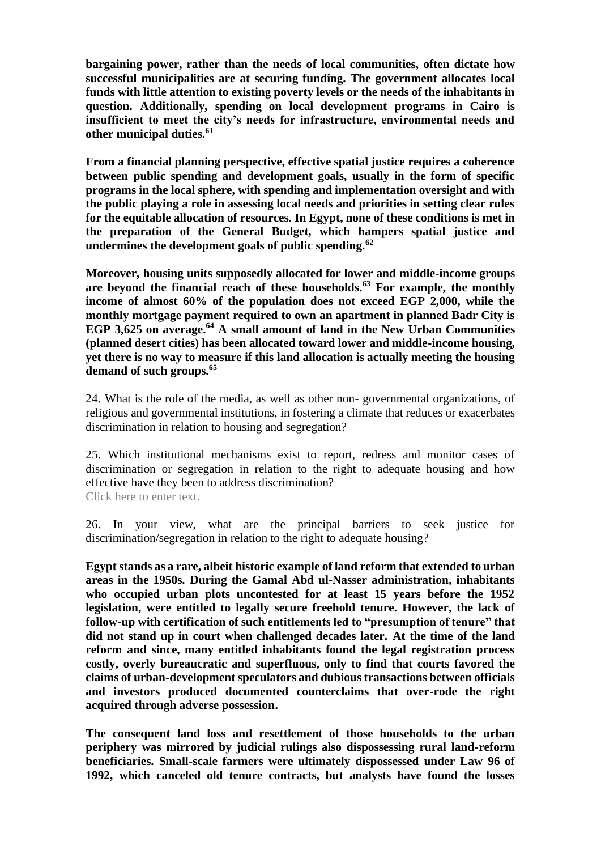**bargaining power, rather than the needs of local communities, often dictate how successful municipalities are at securing funding. The government allocates local funds with little attention to existing poverty levels or the needs of the inhabitants in question. Additionally, spending on local development programs in Cairo is insufficient to meet the city's needs for infrastructure, environmental needs and other municipal duties.<sup>61</sup>**

**From a financial planning perspective, effective spatial justice requires a coherence between public spending and development goals, usually in the form of specific programs in the local sphere, with spending and implementation oversight and with the public playing a role in assessing local needs and priorities in setting clear rules for the equitable allocation of resources. In Egypt, none of these conditions is met in the preparation of the General Budget, which hampers spatial justice and undermines the development goals of public spending.<sup>62</sup>**

**Moreover, housing units supposedly allocated for lower and middle-income groups are beyond the financial reach of these households.<sup>63</sup> For example, the monthly income of almost 60% of the population does not exceed EGP 2,000, while the monthly mortgage payment required to own an apartment in planned Badr City is EGP 3,625 on average.<sup>64</sup> A small amount of land in the New Urban Communities (planned desert cities) has been allocated toward lower and middle-income housing, yet there is no way to measure if this land allocation is actually meeting the housing demand of such groups.<sup>65</sup>**

24. What is the role of the media, as well as other non- governmental organizations, of religious and governmental institutions, in fostering a climate that reduces or exacerbates discrimination in relation to housing and segregation?

25. Which institutional mechanisms exist to report, redress and monitor cases of discrimination or segregation in relation to the right to adequate housing and how effective have they been to address discrimination? Click here to enter text.

26. In your view, what are the principal barriers to seek justice for discrimination/segregation in relation to the right to adequate housing?

**Egypt stands as a rare, albeit historic example of land reform that extended to urban areas in the 1950s. During the Gamal Abd ul-Nasser administration, inhabitants who occupied urban plots uncontested for at least 15 years before the 1952 legislation, were entitled to legally secure freehold tenure. However, the lack of follow-up with certification of such entitlements led to "presumption of tenure" that did not stand up in court when challenged decades later. At the time of the land reform and since, many entitled inhabitants found the legal registration process costly, overly bureaucratic and superfluous, only to find that courts favored the claims of urban-development speculators and dubious transactions between officials and investors produced documented counterclaims that over-rode the right acquired through adverse possession.**

**The consequent land loss and resettlement of those households to the urban periphery was mirrored by judicial rulings also dispossessing rural land-reform beneficiaries. Small-scale farmers were ultimately dispossessed under Law 96 of 1992, which canceled old tenure contracts, but analysts have found the losses**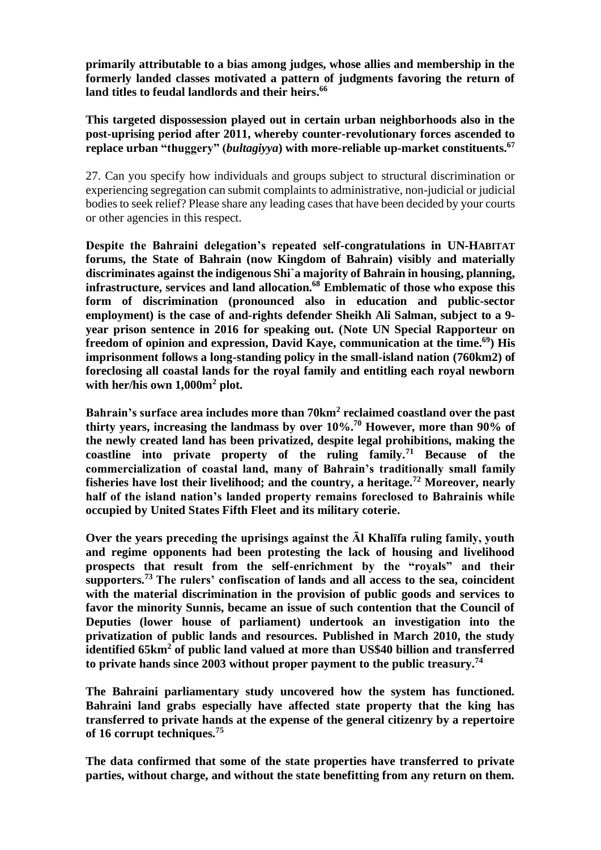**primarily attributable to a bias among judges, whose allies and membership in the formerly landed classes motivated a pattern of judgments favoring the return of land titles to feudal landlords and their heirs. 66**

**This targeted dispossession played out in certain urban neighborhoods also in the post-uprising period after 2011, whereby counter-revolutionary forces ascended to replace urban "thuggery" (***bultagiyya***) with more-reliable up-market constituents.<sup>67</sup>**

27. Can you specify how individuals and groups subject to structural discrimination or experiencing segregation can submit complaints to administrative, non-judicial or judicial bodies to seek relief? Please share any leading cases that have been decided by your courts or other agencies in this respect.

**Despite the Bahraini delegation's repeated self-congratulations in UN-HABITAT forums, the State of Bahrain (now Kingdom of Bahrain) visibly and materially discriminates against the indigenous Shi`a majority of Bahrain in housing, planning, infrastructure, services and land allocation.<sup>68</sup> Emblematic of those who expose this form of discrimination (pronounced also in education and public-sector employment) is the case of and-rights defender Sheikh Ali Salman, subject to a 9 year prison sentence in 2016 for speaking out. (Note UN Special Rapporteur on freedom of opinion and expression, David Kaye, communication at the time.<sup>69</sup>) His imprisonment follows a long-standing policy in the small-island nation (760km2) of foreclosing all coastal lands for the royal family and entitling each royal newborn with her/his own 1,000m<sup>2</sup> plot.**

**Bahrain's surface area includes more than 70km<sup>2</sup> reclaimed coastland over the past thirty years, increasing the landmass by over 10%.<sup>70</sup> However, more than 90% of the newly created land has been privatized, despite legal prohibitions, making the coastline into private property of the ruling family.<sup>71</sup> Because of the commercialization of coastal land, many of Bahrain's traditionally small family fisheries have lost their livelihood; and the country, a heritage.<sup>72</sup> Moreover, nearly half of the island nation's landed property remains foreclosed to Bahrainis while occupied by United States Fifth Fleet and its military coterie.**

**Over the years preceding the uprisings against the Āl Khalīfa ruling family, youth and regime opponents had been protesting the lack of housing and livelihood prospects that result from the self-enrichment by the "royals" and their supporters.<sup>73</sup> The rulers' confiscation of lands and all access to the sea, coincident with the material discrimination in the provision of public goods and services to favor the minority Sunnis, became an issue of such contention that the Council of Deputies (lower house of parliament) undertook an investigation into the privatization of public lands and resources. Published in March 2010, the study identified 65km<sup>2</sup> of public land valued at more than US\$40 billion and transferred to private hands since 2003 without proper payment to the public treasury.<sup>74</sup>**

**The Bahraini parliamentary study uncovered how the system has functioned. Bahraini land grabs especially have affected state property that the king has transferred to private hands at the expense of the general citizenry by a repertoire of 16 corrupt techniques.<sup>75</sup>**

**The data confirmed that some of the state properties have transferred to private parties, without charge, and without the state benefitting from any return on them.**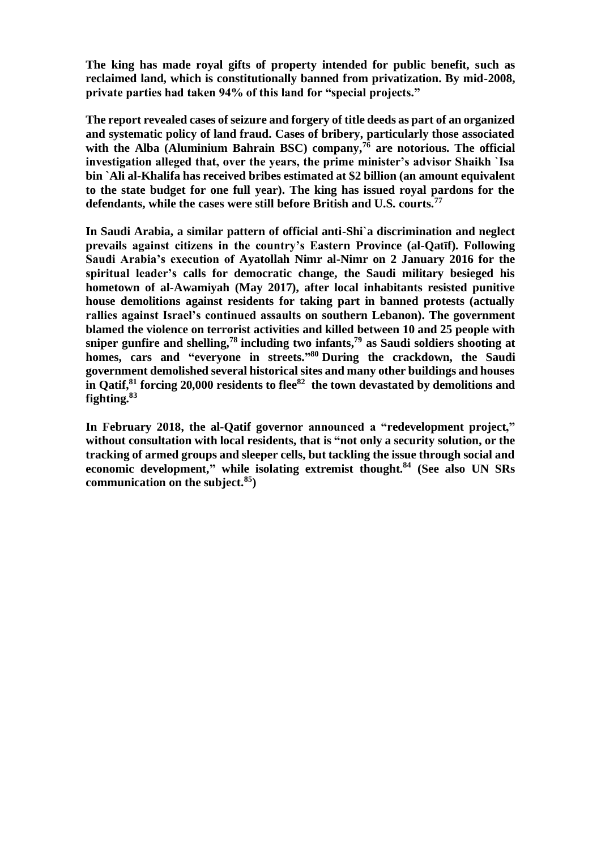**The king has made royal gifts of property intended for public benefit, such as reclaimed land, which is constitutionally banned from privatization. By mid-2008, private parties had taken 94% of this land for "special projects."**

**The report revealed cases of seizure and forgery of title deeds as part of an organized and systematic policy of land fraud. Cases of bribery, particularly those associated with the Alba (Aluminium Bahrain BSC) company,<sup>76</sup> are notorious. The official investigation alleged that, over the years, the prime minister's advisor Shaikh `Isa bin `Ali al-Khalifa has received bribes estimated at \$2 billion (an amount equivalent to the state budget for one full year). The king has issued royal pardons for the defendants, while the cases were still before British and U.S. courts.<sup>77</sup>**

**In Saudi Arabia, a similar pattern of official anti-Shi`a discrimination and neglect prevails against citizens in the country's Eastern Province (al-Qatīf). Following Saudi Arabia's execution of Ayatollah Nimr al-Nimr on 2 January 2016 for the spiritual leader's calls for democratic change, the Saudi military besieged his hometown of al-Awamiyah (May 2017), after local inhabitants resisted punitive house demolitions against residents for taking part in banned protests (actually rallies against Israel's continued assaults on southern Lebanon). The government blamed the violence on terrorist activities and killed between 10 and 25 people with sniper gunfire and shelling,<sup>78</sup> including two infants, <sup>79</sup> as Saudi soldiers shooting at homes, cars and "everyone in streets." <sup>80</sup> During the crackdown, the Saudi government demolished several historical sites and many other buildings and houses in Qatif, <sup>81</sup> forcing 20,000 residents to flee<sup>82</sup> the town devastated by demolitions and fighting.<sup>83</sup>**

**In February 2018, the al-Qatif governor announced a "redevelopment project," without consultation with local residents, that is "not only a security solution, or the tracking of armed groups and sleeper cells, but tackling the issue through social and economic development," while isolating extremist thought.<sup>84</sup> (See also UN SRs communication on the subject.<sup>85</sup>)**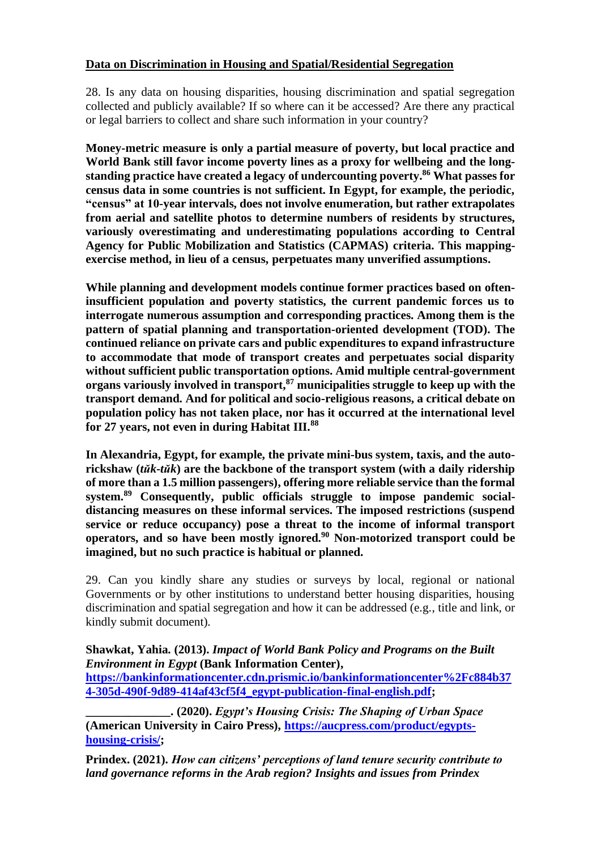# **Data on Discrimination in Housing and Spatial/Residential Segregation**

28. Is any data on housing disparities, housing discrimination and spatial segregation collected and publicly available? If so where can it be accessed? Are there any practical or legal barriers to collect and share such information in your country?

**Money-metric measure is only a partial measure of poverty, but local practice and World Bank still favor income poverty lines as a proxy for wellbeing and the longstanding practice have created a legacy of undercounting poverty. <sup>86</sup> What passes for census data in some countries is not sufficient. In Egypt, for example, the periodic, "census" at 10-year intervals, does not involve enumeration, but rather extrapolates from aerial and satellite photos to determine numbers of residents by structures, variously overestimating and underestimating populations according to Central Agency for Public Mobilization and Statistics (CAPMAS) criteria. This mappingexercise method, in lieu of a census, perpetuates many unverified assumptions.**

**While planning and development models continue former practices based on ofteninsufficient population and poverty statistics, the current pandemic forces us to interrogate numerous assumption and corresponding practices. Among them is the pattern of spatial planning and transportation-oriented development (TOD). The continued reliance on private cars and public expenditures to expand infrastructure to accommodate that mode of transport creates and perpetuates social disparity without sufficient public transportation options. Amid multiple central-government organs variously involved in transport,<sup>87</sup> municipalities struggle to keep up with the transport demand. And for political and socio-religious reasons, a critical debate on population policy has not taken place, nor has it occurred at the international level for 27 years, not even in during Habitat III.<sup>88</sup>**

**In Alexandria, Egypt, for example, the private mini-bus system, taxis, and the autorickshaw (***tŭk-tŭk***) are the backbone of the transport system (with a daily ridership of more than a 1.5 million passengers), offering more reliable service than the formal system.<sup>89</sup> Consequently, public officials struggle to impose pandemic socialdistancing measures on these informal services. The imposed restrictions (suspend service or reduce occupancy) pose a threat to the income of informal transport operators, and so have been mostly ignored.<sup>90</sup> Non-motorized transport could be imagined, but no such practice is habitual or planned.**

29. Can you kindly share any studies or surveys by local, regional or national Governments or by other institutions to understand better housing disparities, housing discrimination and spatial segregation and how it can be addressed (e.g., title and link, or kindly submit document).

## **Shawkat, Yahia. (2013).** *Impact of World Bank Policy and Programs on the Built Environment in Egypt* **(Bank Information Center),**

**[https://bankinformationcenter.cdn.prismic.io/bankinformationcenter%2Fc884b37](https://bankinformationcenter.cdn.prismic.io/bankinformationcenter%2Fc884b374-305d-490f-9d89-414af43cf5f4_egypt-publication-final-english.pdf) [4-305d-490f-9d89-414af43cf5f4\\_egypt-publication-final-english.pdf;](https://bankinformationcenter.cdn.prismic.io/bankinformationcenter%2Fc884b374-305d-490f-9d89-414af43cf5f4_egypt-publication-final-english.pdf)** 

**\_\_\_\_\_\_\_\_\_\_\_\_\_\_. (2020).** *Egypt's Housing Crisis: The Shaping of Urban Space* **(American University in Cairo Press), [https://aucpress.com/product/egypts](https://aucpress.com/product/egypts-housing-crisis/)[housing-crisis/;](https://aucpress.com/product/egypts-housing-crisis/)** 

**Prindex. (2021).** *How can citizens' perceptions of land tenure security contribute to land governance reforms in the Arab region? Insights and issues from Prindex*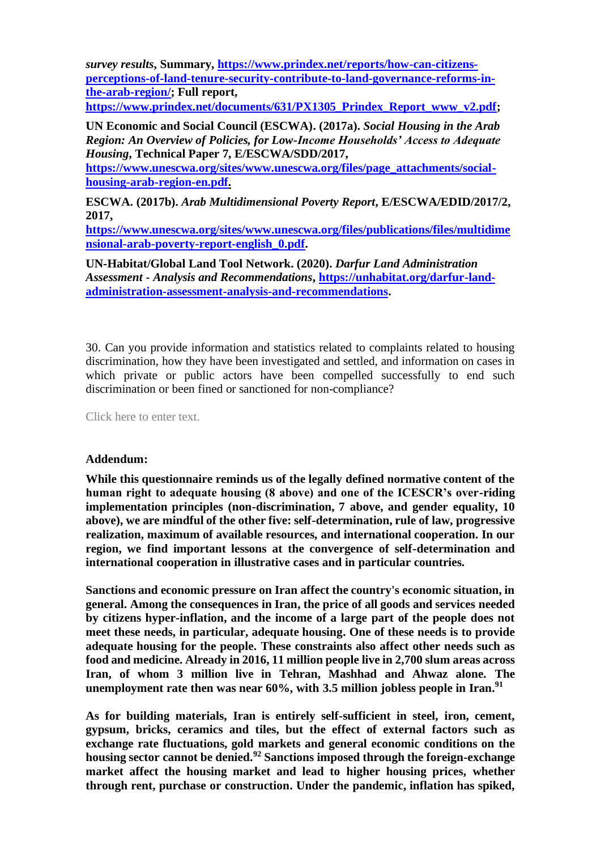*survey results***, Summary, [https://www.prindex.net/reports/how-can-citizens](https://www.prindex.net/reports/how-can-citizens-perceptions-of-land-tenure-security-contribute-to-land-governance-reforms-in-the-arab-region/)[perceptions-of-land-tenure-security-contribute-to-land-governance-reforms-in](https://www.prindex.net/reports/how-can-citizens-perceptions-of-land-tenure-security-contribute-to-land-governance-reforms-in-the-arab-region/)[the-arab-region/;](https://www.prindex.net/reports/how-can-citizens-perceptions-of-land-tenure-security-contribute-to-land-governance-reforms-in-the-arab-region/) Full report,** 

**[https://www.prindex.net/documents/631/PX1305\\_Prindex\\_Report\\_www\\_v2.pdf;](https://www.prindex.net/documents/631/PX1305_Prindex_Report_www_v2.pdf)**

**UN Economic and Social Council (ESCWA). (2017a).** *Social Housing in the Arab Region: An Overview of Policies, for Low-Income Households' Access to Adequate Housing***, Technical Paper 7, E/ESCWA/SDD/2017,** 

**[https://www.unescwa.org/sites/www.unescwa.org/files/page\\_attachments/social](https://www.unescwa.org/sites/www.unescwa.org/files/page_attachments/social-housing-arab-region-en.pdf)[housing-arab-region-en.pdf.](https://www.unescwa.org/sites/www.unescwa.org/files/page_attachments/social-housing-arab-region-en.pdf)**

**ESCWA. (2017b).** *Arab Multidimensional Poverty Report***, E/ESCWA/EDID/2017/2, 2017,** 

**[https://www.unescwa.org/sites/www.unescwa.org/files/publications/files/multidime](https://www.unescwa.org/sites/www.unescwa.org/files/publications/files/multidimensional-arab-poverty-report-english_0.pdf) [nsional-arab-poverty-report-english\\_0.pdf.](https://www.unescwa.org/sites/www.unescwa.org/files/publications/files/multidimensional-arab-poverty-report-english_0.pdf)**

**UN-Habitat/Global Land Tool Network. (2020).** *Darfur Land Administration Assessment - Analysis and Recommendations***, [https://unhabitat.org/darfur-land](https://unhabitat.org/darfur-land-administration-assessment-analysis-and-recommendations)[administration-assessment-analysis-and-recommendations.](https://unhabitat.org/darfur-land-administration-assessment-analysis-and-recommendations)**

30. Can you provide information and statistics related to complaints related to housing discrimination, how they have been investigated and settled, and information on cases in which private or public actors have been compelled successfully to end such discrimination or been fined or sanctioned for non-compliance?

Click here to enter text.

#### **Addendum:**

**While this questionnaire reminds us of the legally defined normative content of the human right to adequate housing (8 above) and one of the ICESCR's over-riding implementation principles (non-discrimination, 7 above, and gender equality, 10 above), we are mindful of the other five: self-determination, rule of law, progressive realization, maximum of available resources, and international cooperation. In our region, we find important lessons at the convergence of self-determination and international cooperation in illustrative cases and in particular countries.**

**Sanctions and economic pressure on Iran affect the country's economic situation, in general. Among the consequences in Iran, the price of all goods and services needed by citizens hyper-inflation, and the income of a large part of the people does not meet these needs, in particular, adequate housing. One of these needs is to provide adequate housing for the people. These constraints also affect other needs such as food and medicine. Already in 2016, 11 million people live in 2,700 slum areas across Iran, of whom 3 million live in Tehran, Mashhad and Ahwaz alone. The unemployment rate then was near 60%, with 3.5 million jobless people in Iran. 91**

**As for building materials, Iran is entirely self-sufficient in steel, iron, cement, gypsum, bricks, ceramics and tiles, but the effect of external factors such as exchange rate fluctuations, gold markets and general economic conditions on the housing sector cannot be denied.<sup>92</sup> Sanctions imposed through the foreign-exchange market affect the housing market and lead to higher housing prices, whether through rent, purchase or construction. Under the pandemic, inflation has spiked,**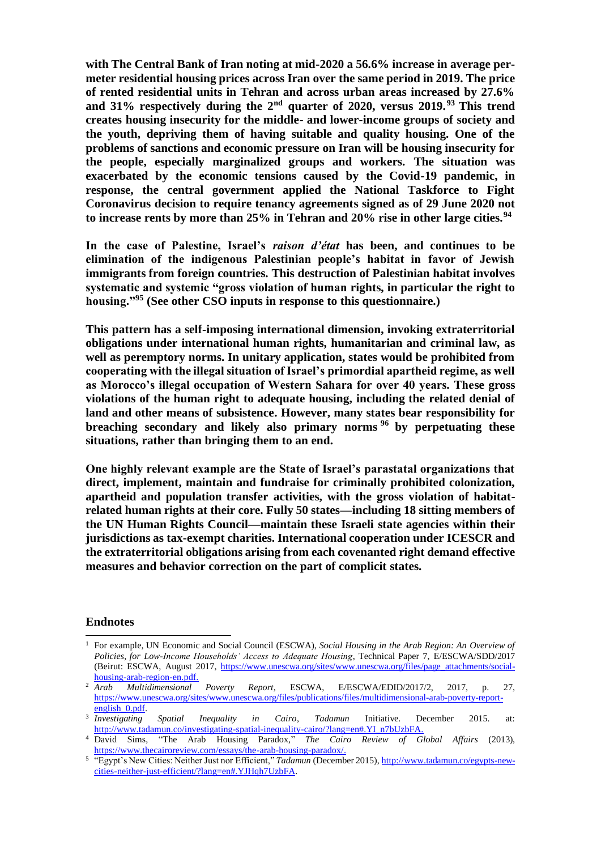**with The Central Bank of Iran noting at mid-2020 a 56.6% increase in average permeter residential housing prices across Iran over the same period in 2019. The price of rented residential units in Tehran and across urban areas increased by 27.6% and 31% respectively during the 2nd quarter of 2020, versus 2019. <sup>93</sup> This trend creates housing insecurity for the middle- and lower-income groups of society and the youth, depriving them of having suitable and quality housing. One of the problems of sanctions and economic pressure on Iran will be housing insecurity for the people, especially marginalized groups and workers. The situation was exacerbated by the economic tensions caused by the Covid-19 pandemic, in response, the central government applied the National Taskforce to Fight Coronavirus decision to require tenancy agreements signed as of 29 June 2020 not to increase rents by more than 25% in Tehran and 20% rise in other large cities.<sup>94</sup>**

**In the case of Palestine, Israel's** *raison d'état* **has been, and continues to be elimination of the indigenous Palestinian people's habitat in favor of Jewish immigrants from foreign countries. This destruction of Palestinian habitat involves systematic and systemic "gross violation of human rights, in particular the right to housing."<sup>95</sup> (See other CSO inputs in response to this questionnaire.)**

**This pattern has a self-imposing international dimension, invoking extraterritorial obligations under international human rights, humanitarian and criminal law, as well as peremptory norms. In unitary application, states would be prohibited from cooperating with the illegal situation of Israel's primordial apartheid regime, as well as Morocco's illegal occupation of Western Sahara for over 40 years. These gross violations of the human right to adequate housing, including the related denial of land and other means of subsistence. However, many states bear responsibility for breaching secondary and likely also primary norms <sup>96</sup> by perpetuating these situations, rather than bringing them to an end.**

**One highly relevant example are the State of Israel's parastatal organizations that direct, implement, maintain and fundraise for criminally prohibited colonization, apartheid and population transfer activities, with the gross violation of habitatrelated human rights at their core. Fully 50 states—including 18 sitting members of the UN Human Rights Council—maintain these Israeli state agencies within their jurisdictions as tax-exempt charities. International cooperation under ICESCR and the extraterritorial obligations arising from each covenanted right demand effective measures and behavior correction on the part of complicit states.**

#### **Endnotes**

<sup>1</sup> For example, UN Economic and Social Council (ESCWA), *Social Housing in the Arab Region: An Overview of Policies, for Low-Income Households' Access to Adequate Housing*, Technical Paper 7, E/ESCWA/SDD/2017 (Beirut: ESCWA, August 2017, [https://www.unescwa.org/sites/www.unescwa.org/files/page\\_attachments/social](https://www.unescwa.org/sites/www.unescwa.org/files/page_attachments/social-housing-arab-region-en.pdf)[housing-arab-region-en.pdf.](https://www.unescwa.org/sites/www.unescwa.org/files/page_attachments/social-housing-arab-region-en.pdf)

<sup>2</sup> *Arab Multidimensional Poverty Report*, ESCWA, E/ESCWA/EDID/2017/2, 2017, p. 27, [https://www.unescwa.org/sites/www.unescwa.org/files/publications/files/multidimensional-arab-poverty-report](https://www.unescwa.org/sites/www.unescwa.org/files/publications/files/multidimensional-arab-poverty-report-english_0.pdf)[english\\_0.pdf.](https://www.unescwa.org/sites/www.unescwa.org/files/publications/files/multidimensional-arab-poverty-report-english_0.pdf)

<sup>3</sup> *Investigating Spatial Inequality in Cairo*, *Tadamun* Initiative. December 2015. at: [http://www.tadamun.co/investigating-spatial-inequality-cairo/?lang=en#.YI\\_n7bUzbFA](http://www.tadamun.co/investigating-spatial-inequality-cairo/?lang=en#.YI_n7bUzbFA).

<sup>4</sup> David Sims, "The Arab Housing Paradox," *The Cairo Review of Global Affairs* (2013), [https://www.thecairoreview.com/essays/the-arab-housing-paradox](https://www.thecairoreview.com/essays/the-arab-housing-paradox/)/.

<sup>5</sup> "Egypt's New Cities: Neither Just nor Efficient," *Tadamun* (December 2015)[, http://www.tadamun.co/egypts-new](http://www.tadamun.co/egypts-new-cities-neither-just-efficient/?lang=en#.YJHqh7UzbFA)[cities-neither-just-efficient/?lang=en#.YJHqh7UzbFA](http://www.tadamun.co/egypts-new-cities-neither-just-efficient/?lang=en#.YJHqh7UzbFA).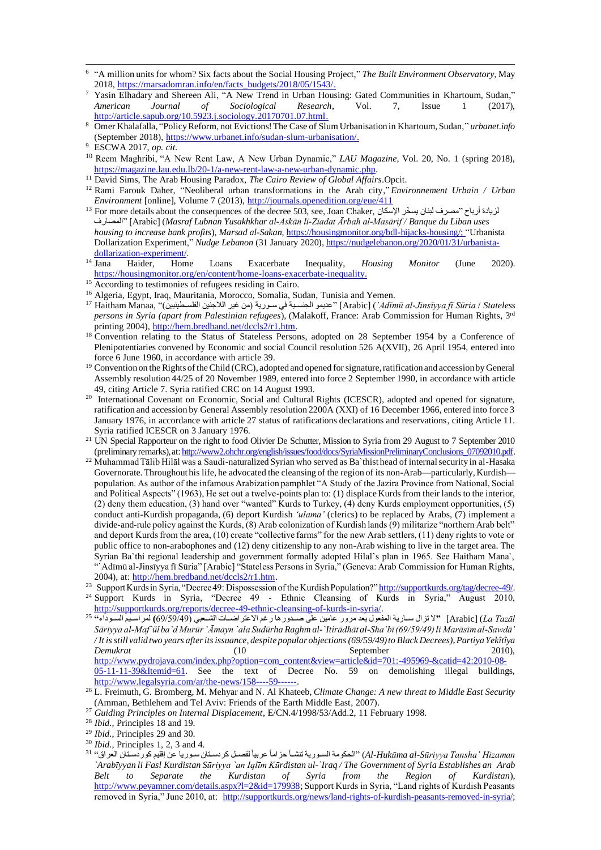- 6 "A million units for whom? Six facts about the Social Housing Project," *The Built Environment Observatory*, May 2018, [https://marsadomran.info/en/facts\\_budgets/2018/05/1543](https://marsadomran.info/en/facts_budgets/2018/05/1543/)/.
- <sup>7</sup> Yasin Elhadary and Shereen Ali, "A New Trend in Urban Housing: Gated Communities in Khartoum, Sudan," *American Journal of Sociological Research*, Vol. 7, Issue 1 (2017), [http://article.sapub.org/10.5923.j.sociology.20170701.07.htm](http://article.sapub.org/10.5923.j.sociology.20170701.07.html)l.
- <sup>8</sup> Omer Khalafalla, "Policy Reform, not Evictions! The Case of Slum Urbanisation in Khartoum, Sudan," *urbanet.info* (September 2018), [https://www.urbanet.info/sudan-slum-urbanisation](https://www.urbanet.info/sudan-slum-urbanisation/)/.

- <sup>10</sup> Reem Maghribi, "A New Rent Law, A New Urban Dynamic," *LAU Magazine*, Vol. 20, No. 1 (spring 2018), <https://magazine.lau.edu.lb/20-1/a-new-rent-law-a-new-urban-dynamic.php>.
- <sup>11</sup> David Sims, The Arab Housing Paradox, *The Cairo Review of Global Affairs*.Opcit.
- <sup>12</sup> Rami Farouk Daher, "Neoliberal urban transformations in the Arab city," *Environnement Urbain / Urban Environment* [online], Volume 7 (2013[\), http://journals.openedition.org/eue/41](http://journals.openedition.org/eue/411)1
- $^{13}$  For more details about the consequences of the decree 503, see, Joan Chaker, الزيادة أرباح "مصرف لبنان يسخّر الإسكان المصارف] "Arabic] (*Masraf Lubnan Yusakhkhar al-Askān li-Ziadat Ārbah al-Masārif / Banque du Liban uses housing to increase bank profits*), *Marsad al-Sakan*, [https://housingmonitor.org/bdl-hijacks-housing/;](https://housingmonitor.org/bdl-hijacks-housing/) "Urbanista Dollarization Experiment," *Nudge Lebanon* (31 January 2020)[, https://nudgelebanon.org/2020/01/31/urbanista](https://nudgelebanon.org/2020/01/31/urbanista-dollarization-experiment/)[dollarization-experiment/.](https://nudgelebanon.org/2020/01/31/urbanista-dollarization-experiment/)<br><sup>14</sup> Jana Haider, Hom
- <sup>14</sup> Jana Haider, Home Loans Exacerbate Inequality, *Housing Monitor* (June 2020). <https://housingmonitor.org/en/content/home-loans-exacerbate-inequality>.
- <sup>15</sup> According to testimonies of refugees residing in Cairo.
- <sup>16</sup> Algeria, Egypt, Iraq, Mauritania, Morocco, Somalia, Sudan, Tunisia and Yemen.
- <sup>17</sup> Haitham Manaa, ")الفلسططنينيين الالجئين ير غمن سططوريف س الجنسططيف عديمو] "Arabic] (*`Adīmū al-Jinsīyya fī Sūria* / *Stateless persons in Syria (apart from Palestinian refugees*), (Malakoff, France: Arab Commission for Human Rights, 3rd printing 2004)[, http://hem.bredband.net/dccls2/r1.htm](http://hem.bredband.net/dccls2/r1.htm).
- <sup>18</sup> Convention relating to the Status of Stateless Persons, adopted on 28 September 1954 by a Conference of Plenipotentiaries convened by Economic and social Council resolution 526 A(XVII), 26 April 1954, entered into force 6 June 1960, in accordance with article 39.
- <sup>19</sup> Convention on the Rights of the Child (CRC), adopted and opened for signature, ratification and accession by General Assembly resolution 44/25 of 20 November 1989, entered into force 2 September 1990, in accordance with article 49, citing Article 7. Syria ratified CRC on 14 August 1993.
- <sup>20</sup> International Covenant on Economic, Social and Cultural Rights (ICESCR), adopted and opened for signature, ratification and accession by General Assembly resolution 2200A (XXI) of 16 December 1966, entered into force 3 January 1976, in accordance with article 27 status of ratifications declarations and reservations, citing Article 11. Syria ratified ICESCR on 3 January 1976.
- <sup>21</sup> UN Special Rapporteur on the right to food Olivier De Schutter, Mission to Syria from 29 August to 7 September 2010 (preliminary remarks), at: [http://www2.ohchr.org/english/issues/food/docs/SyriaMissionPreliminaryConclusions\\_07092010.pdf.](http://www2.ohchr.org/english/issues/food/docs/SyriaMissionPreliminaryConclusions_07092010.pdf)
- <sup>22</sup> Muhammad Tālib Hilāl was a Saudi-naturalized Syrian who served as Ba`thist head of internal security in al-Hasaka Governorate. Throughout his life, he advocated the cleansing of the region of its non-Arab—particularly, Kurdish population. As author of the infamous Arabization pamphlet "A Study of the Jazira Province from National, Social and Political Aspects" (1963), He set out a twelve-points plan to: (1) displace Kurds from their lands to the interior, (2) deny them education, (3) hand over "wanted" Kurds to Turkey, (4) deny Kurds employment opportunities, (5) conduct anti-Kurdish propaganda, (6) deport Kurdish *'ulama'* (clerics) to be replaced by Arabs, (7) implement a divide-and-rule policy against the Kurds, (8) Arab colonization of Kurdish lands (9) militarize "northern Arab belt" and deport Kurds from the area, (10) create "collective farms" for the new Arab settlers, (11) deny rights to vote or public office to non-arabophones and (12) deny citizenship to any non-Arab wishing to live in the target area. The Syrian Ba`thi regional leadership and government formally adopted Hilal's plan in 1965. See Haitham Mana`, "`Adīmū al-Jinsīyya fī Sūria" [Arabic] "Stateless Persons in Syria," (Geneva: Arab Commission for Human Rights, 2004), at[: http://hem.bredband.net/dccls2/r1.htm](http://hem.bredband.net/dccls2/r1.htm).
- <sup>23</sup> Support Kurds in Syria, "Decree 49: Dispossession of the Kurdish Population?[" http://supportkurds.org/tag/decree-49/.](http://supportkurds.org/tag/decree-49/) <sup>24</sup> Support Kurds in Syria, "Decree 49 - Ethnic Cleansing of Kurds in Syria," August 2010, [http://supportkurds.org/reports/decree-49-ethnic-cleansing-of-kurds-in-syria](http://supportkurds.org/reports/decree-49-ethnic-cleansing-of-kurds-in-syria/)/.
- *Tazāl La*] (Arabic**"** [ال تزال سططاريف المفلول بلد مر ر عامين علص وططد رغا ر االعارااططاب ال ططلبس غ69/59/49**)** لمراسططيالسططودا **"** <sup>25</sup> *Sārīyya al-Maf`ŭl ba`d Murūr `Āmayn `ala Sudūrha Raghm al-`Itirādhāt al-Sha`bī (69/59/49) li Marāsīm al-Sawdā' / It is still valid two years after its issuance, despite popular objections (69/59/49) to Black Decrees)*, *Partiya Yekîtîya Demukrat* 2010), (10 September 2010), [http://www.pydrojava.com/index.php?option=com\\_content&view=article&id=701:-495969-&catid=42:2010-08-](http://www.pydrojava.com/index.php?option=com_content&view=article&id=701:-495969-&catid=42:2010-08-05-11-11-39&Itemid=61) [05-11-11-39&Itemid=61.](http://www.pydrojava.com/index.php?option=com_content&view=article&id=701:-495969-&catid=42:2010-08-05-11-11-39&Itemid=61) See the text of Decree No. 59 on demolishing illegal buildings, http://www.legalsyria.com/ar/the-news/158----59----

<sup>27</sup> *Guiding Principles on Internal Displacement*, E/CN.4/1998/53/Add.2, 11 February 1998.

- <sup>30</sup> *Ibid.*, Principles 1, 2, 3 and 4.
- Al-Hukūma al-Sūriyya Tansha' Hizaman') "الحكومة السورية تنشـأ حزاماً عربياً لفصـل كردسـتان سـوريا عن إقليم كوردسـتان العراق<sup>،، 31</sup> *`Arabīyyan li Fasl Kurdistan Sūriyya `an Iqlīm Kūrdistan ul-`Iraq / The Government of Syria Establishes an Arab Belt to Separate the Kurdistan of Syria from the Region of Kurdistan*), [http://www.peyamner.com/details.aspx?l=2&id=179938;](http://www.peyamner.com/details.aspx?l=2&id=179938) Support Kurds in Syria, "Land rights of Kurdish Peasants removed in Syria," June 2010, at: [http://supportkurds.org/news/land-rights-of-kurdish-peasants-removed-in-syria/;](http://supportkurds.org/news/land-rights-of-kurdish-peasants-removed-in-syria/)

<sup>9</sup> ESCWA 2017, *op. cit.*

<sup>26</sup> L. Freimuth, G. Bromberg, M. Mehyar and N. Al Khateeb, *Climate Change: A new threat to Middle East Security* (Amman, Bethlehem and Tel Aviv: Friends of the Earth Middle East, 2007).

<sup>28</sup> *Ibid.*, Principles 18 and 19.

<sup>29</sup> *Ibid.*, Principles 29 and 30.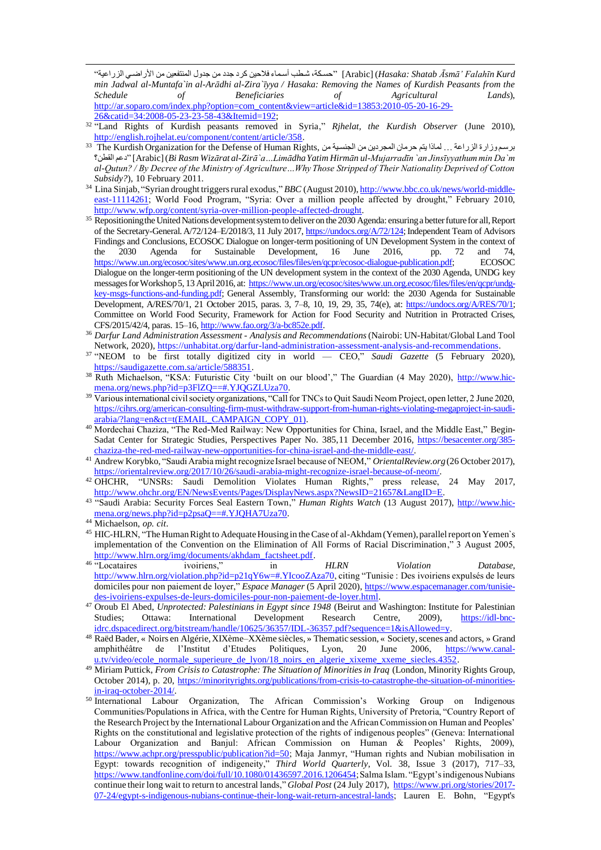*Kurd Falahīn' Āsmā Shatab :Hasaka*] (Arabic" [اسطكف ططنأ أسطما الاين نرد جدد من جد ل المنافلين من اضرااطس الزراعيف" *min Jadwal al-Muntafa`in al-Arādhi al-Zira`īyya / Hasaka: Removing the Names of Kurdish Peasants from the Schedule of Beneficiaries of Agricultural Lands*), [http://ar.soparo.com/index.php?option=com\\_content&view=article&id=13853:2010-05-20-16-29-](http://ar.soparo.com/index.php?option=com_content&view=article&id=13853:2010-05-20-16-29-26&catid=34:2008-05-23-23-58-43&Itemid=192) [26&catid=34:2008-05-23-23-58-43&Itemid=192](http://ar.soparo.com/index.php?option=com_content&view=article&id=13853:2010-05-20-16-29-26&catid=34:2008-05-23-23-58-43&Itemid=192);

- 32 "Land Rights of Kurdish peasants removed in Syria," *Rjhelat, the Kurdish Observer* (June 2010), <http://english.rojhelat.eu/component/content/article/358>.
- برسموزارة الزراعة ... لماذا يتم حرمان المجردين من الجنسية من ,The Kurdish Organization for the Defense of Human Rights القنن؟ دع] "Arabic] (*Bi Rasm Wizārat al-Zirā`a…Limādha Yatim Hirmān ul-Mujarradīn `an Jinsīyyathum min Da`m al-Qutun? / By Decree of the Ministry of Agriculture…Why Those Stripped of Their Nationality Deprived of Cotton Subsidy?*), 10 February 2011.
- 34 Lina Sinjab, "Syrian drought triggers rural exodus," *BBC* (August 2010)[, http://www.bbc.co.uk/news/world-middle](http://www.bbc.co.uk/news/world-middle-east-11114261)[east-11114261;](http://www.bbc.co.uk/news/world-middle-east-11114261) World Food Program, "Syria: Over a million people affected by drought," February 2010, [http://www.wfp.org/content/syria-over-million-people-affected-drough](http://www.wfp.org/content/syria-over-million-people-affected-drought)t.
- <sup>35</sup> Repositioning the United Nations development system to deliver on the 2030 Agenda: ensuring a better future for all, Report of the Secretary-General. A/72/124–E/2018/3, 11 July 2017, [https://undocs.org/A/72/124;](https://undocs.org/A/72/124) Independent Team of Advisors Findings and Conclusions, ECOSOC Dialogue on longer-term positioning of UN Development System in the context of the 2030 Agenda for Sustainable Development, 16 June 2016, pp. 72 and 74, [https://www.un.org/ecosoc/sites/www.un.org.ecosoc/files/files/en/qcpr/ecosoc-dialogue-publication.pdf;](https://www.un.org/ecosoc/sites/www.un.org.ecosoc/files/files/en/qcpr/ecosoc-dialogue-publication.pdf) ECOSOC Dialogue on the longer-term positioning of the UN development system in the context of the 2030 Agenda, UNDG key messages for Workshop 5, 13 April 2016, at: [https://www.un.org/ecosoc/sites/www.un.org.ecosoc/files/files/en/qcpr/undg](https://www.un.org/ecosoc/sites/www.un.org.ecosoc/files/files/en/qcpr/undg-key-msgs-functions-and-funding.pdf)[key-msgs-functions-and-funding.pdf;](https://www.un.org/ecosoc/sites/www.un.org.ecosoc/files/files/en/qcpr/undg-key-msgs-functions-and-funding.pdf) General Assembly, Transforming our world: the 2030 Agenda for Sustainable Development, A/RES/70/1, 21 October 2015, paras. 3, 7–8, 10, 19, 29, 35, 74(e), at: [https://undocs.org/A/RES/70/1;](https://undocs.org/A/RES/70/1) Committee on World Food Security, Framework for Action for Food Security and Nutrition in Protracted Crises, CFS/2015/42/4, paras. 15–16[, http://www.fao.org/3/a-bc852e.pdf](http://www.fao.org/3/a-bc852e.pdf).
- <sup>36</sup> *Darfur Land Administration Assessment - Analysis and Recommendations*(Nairobi: UN-Habitat/Global Land Tool Network, 2020)[, https://unhabitat.org/darfur-land-administration-assessment-analysis-and-recommendation](https://unhabitat.org/darfur-land-administration-assessment-analysis-and-recommendations)s.
- 37 "NEOM to be first totally digitized city in world CEO," *Saudi Gazette* (5 February 2020), <https://saudigazette.com.sa/article/588351>.
- <sup>38</sup> Ruth Michaelson, "KSA: Futuristic City 'built on our blood'," The Guardian (4 May 2020), [http://www.hic](http://www.hic-mena.org/news.php?id=p3FlZQ==#.YJQGZLUza70)[mena.org/news.php?id=p3FlZQ==#.YJQGZLUza70](http://www.hic-mena.org/news.php?id=p3FlZQ==#.YJQGZLUza70).
- <sup>39</sup> Various international civil society organizations, "Call for TNCs to Quit Saudi Neom Project, open letter, 2 June 2020, [https://cihrs.org/american-consulting-firm-must-withdraw-support-from-human-rights-violating-megaproject-in-saudi](https://cihrs.org/american-consulting-firm-must-withdraw-support-from-human-rights-violating-megaproject-in-saudi-arabia/?lang=en&ct=t(EMAIL_CAMPAIGN_COPY_01))[arabia/?lang=en&ct=t\(EMAIL\\_CAMPAIGN\\_COPY\\_01](https://cihrs.org/american-consulting-firm-must-withdraw-support-from-human-rights-violating-megaproject-in-saudi-arabia/?lang=en&ct=t(EMAIL_CAMPAIGN_COPY_01))).
- 40 Mordechai Chaziza, "The Red-Med Railway: New Opportunities for China, Israel, and the Middle East," Begin-Sadat Center for Strategic Studies, Perspectives Paper No. 385,11 December 2016, [https://besacenter.org/385](https://besacenter.org/385-chaziza-the-red-med-railway-new-opportunities-for-china-israel-and-the-middle-east/) [chaziza-the-red-med-railway-new-opportunities-for-china-israel-and-the-middle-eas](https://besacenter.org/385-chaziza-the-red-med-railway-new-opportunities-for-china-israel-and-the-middle-east/)t/.
- <sup>41</sup> Andrew Korybko, "Saudi Arabia might recognize Israel because of NEOM," *OrientalReview.org* (26 October 2017), [https://orientalreview.org/2017/10/26/saudi-arabia-might-recognize-israel-because-of-neom](https://orientalreview.org/2017/10/26/saudi-arabia-might-recognize-israel-because-of-neom/)/.
- $42$  OHCHR, "UNSRs: Saudi Demolition Violates Human Rights," press release, 24 May 2017, <http://www.ohchr.org/EN/NewsEvents/Pages/DisplayNews.aspx?NewsID=21657&LangID=E>.
- <sup>43</sup> "Saudi Arabia: Security Forces Seal Eastern Town," *Human Rights Watch* (13 August 2017), [http://www.hic](http://www.hic-mena.org/news.php?id=p2psaQ==#.YJQHA7Uza70)[mena.org/news.php?id=p2psaQ==#.YJQHA7Uza70](http://www.hic-mena.org/news.php?id=p2psaQ==#.YJQHA7Uza70).
- <sup>44</sup> Michaelson, *op. cit*.
- <sup>45</sup> HIC-HLRN, "The Human Right to Adequate Housing in the Case of al-Akhdam (Yemen), parallel report on Yemen`s implementation of the Convention on the Elimination of All Forms of Racial Discrimination," 3 August 2005, [http://www.hlrn.org/img/documents/akhdam\\_factsheet.pdf](http://www.hlrn.org/img/documents/akhdam_factsheet.pdf).
- <sup>46</sup> "Locataires ivoiriens," in *HLRN Violation Database*, [http://www.hlrn.org/violation.php?id=p21qY6w=#.YIcooZAza70,](http://www.hlrn.org/violation.php?id=p21qY6w=#.YIcooZAza70) citing "Tunisie : Des ivoiriens expulsés de leurs domiciles pour non paiement de loyer," *Espace Manager* (5 April 2020), [https://www.espacemanager.com/tunisie](https://www.espacemanager.com/tunisie-des-ivoiriens-expulses-de-leurs-domiciles-pour-non-paiement-de-loyer.html)[des-ivoiriens-expulses-de-leurs-domiciles-pour-non-paiement-de-loyer.htm](https://www.espacemanager.com/tunisie-des-ivoiriens-expulses-de-leurs-domiciles-pour-non-paiement-de-loyer.html)l.
- <sup>47</sup> Oroub El Abed, *Unprotected: Palestinians in Egypt since 1948* (Beirut and Washington: Institute for Palestinian Studies; Ottawa: International Development Research Centre, 2009), [https://idl-bnc](https://idl-bnc-idrc.dspacedirect.org/bitstream/handle/10625/36357/IDL-36357.pdf?sequence=1&isAllowed=y)[idrc.dspacedirect.org/bitstream/handle/10625/36357/IDL-36357.pdf?sequence=1&isAllowed=](https://idl-bnc-idrc.dspacedirect.org/bitstream/handle/10625/36357/IDL-36357.pdf?sequence=1&isAllowed=y)y.
- <sup>48</sup> Raëd Bader, « Noirs en Algérie, XIXème–XXème siècles, » Thematic session, « Society, scenes and actors, » Grand amphithéâtre de l'Institut d'Etudes Politiques, Lyon, 20 June 2006, [https://www.canal](https://www.canal-u.tv/video/ecole_normale_superieure_de_lyon/18_noirs_en_algerie_xixeme_xxeme_siecles.4352)[u.tv/video/ecole\\_normale\\_superieure\\_de\\_lyon/18\\_noirs\\_en\\_algerie\\_xixeme\\_xxeme\\_siecles.435](https://www.canal-u.tv/video/ecole_normale_superieure_de_lyon/18_noirs_en_algerie_xixeme_xxeme_siecles.4352)2.
- <sup>49</sup> Miriam Puttick, *From Crisis to Catastrophe: The Situation of Minorities in Iraq* (London, Minority Rights Group, October 2014), p. 20, [https://minorityrights.org/publications/from-crisis-to-catastrophe-the-situation-of-minorities](https://minorityrights.org/publications/from-crisis-to-catastrophe-the-situation-of-minorities-in-iraq-october-2014/)[in-iraq-october-2014/.](https://minorityrights.org/publications/from-crisis-to-catastrophe-the-situation-of-minorities-in-iraq-october-2014/)
- 50 International Labour Organization, The African Commission's Working Group on Indigenous Communities/Populations in Africa, with the Centre for Human Rights, University of Pretoria, "Country Report of the Research Project by the International Labour Organization and the African Commission on Human and Peoples' Rights on the constitutional and legislative protection of the rights of indigenous peoples" (Geneva: International Labour Organization and Banjul: African Commission on Human & Peoples' Rights, 2009), [https://www.achpr.org/presspublic/publication?id=50;](https://www.achpr.org/presspublic/publication?id=50) Maja Janmyr, "Human rights and Nubian mobilisation in Egypt: towards recognition of indigeneity," *Third World Quarterly*, Vol. 38, Issue 3 (2017), 717–33, [https://www.tandfonline.com/doi/full/10.1080/01436597.2016.1206454;](https://www.tandfonline.com/doi/full/10.1080/01436597.2016.1206454) Salma Islam. "Egypt's indigenous Nubians continue their long wait to return to ancestral lands," *Global Post* (24 July 2017), [https://www.pri.org/stories/2017-](https://www.pri.org/stories/2017-07-24/egypt-s-indigenous-nubians-continue-their-long-wait-return-ancestral-lands) [07-24/egypt-s-indigenous-nubians-continue-their-long-wait-return-ancestral-lands;](https://www.pri.org/stories/2017-07-24/egypt-s-indigenous-nubians-continue-their-long-wait-return-ancestral-lands) Lauren E. Bohn, "Egypt's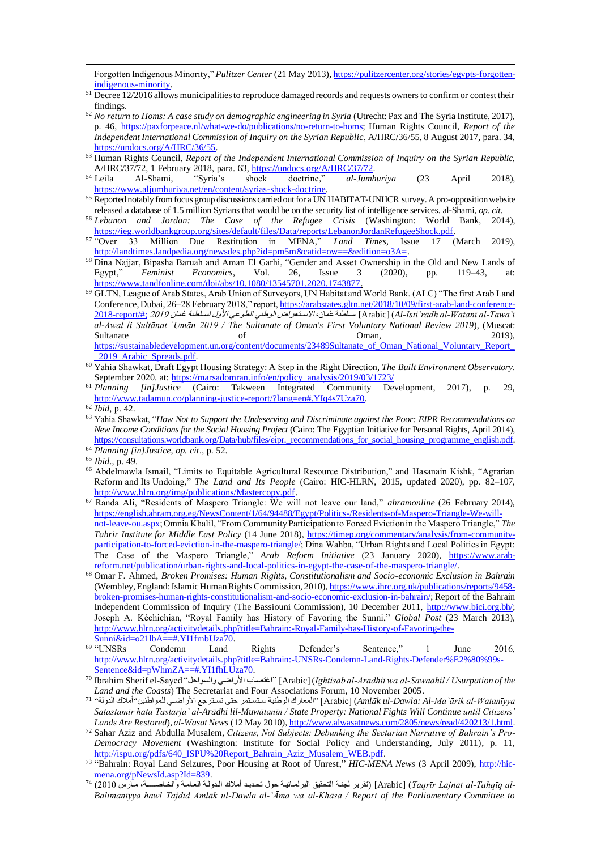Forgotten Indigenous Minority," *Pulitzer Center* (21 May 2013)[, https://pulitzercenter.org/stories/egypts-forgotten](https://pulitzercenter.org/stories/egypts-forgotten-indigenous-minority)[indigenous-minority.](https://pulitzercenter.org/stories/egypts-forgotten-indigenous-minority)

- <sup>51</sup> Decree 12/2016 allows municipalities to reproduce damaged records and requests owners to confirm or contest their findings.
- <sup>52</sup> *No return to Homs: A case study on demographic engineering in Syria* (Utrecht: Pax and The Syria Institute, 2017), p. 46, [https://paxforpeace.nl/what-we-do/publications/no-return-to-homs;](https://paxforpeace.nl/what-we-do/publications/no-return-to-homs) Human Rights Council, *Report of the Independent International Commission of Inquiry on the Syrian Republic*, A/HRC/36/55, 8 August 2017, para. 34, [https://undocs.org/A/HRC/36/55.](https://undocs.org/A/HRC/36/55)
- <sup>53</sup> Human Rights Council, *Report of the Independent International Commission of Inquiry on the Syrian Republic,*
- A/HRC/37/72, 1 February 2018, para. 6[3, https://undocs.org/A/HRC/37/72](https://undocs.org/A/HRC/37/72)<br>
<sup>54</sup> Leila Al-Shami, "Syria's shock doctrine," al-Jum. <sup>54</sup> Leila Al-Shami, "Syria's shock doctrine*,*" *al-Jumhuriya* (23 April 2018), <https://www.aljumhuriya.net/en/content/syrias-shock-doctrine>.
- <sup>55</sup> Reported notably from focus group discussions carried out for a UN HABITAT-UNHCR survey. A pro-opposition website released a database of 1.5 million Syrians that would be on the security list of intelligence services. al-Shami, *op. cit*.
- <sup>56</sup> *Lebanon and Jordan: The Case of the Refugee Crisis* (Washington: World Bank, 2014), [https://ieg.worldbankgroup.org/sites/default/files/Data/reports/LebanonJordanRefugeeShock.pd](https://ieg.worldbankgroup.org/sites/default/files/Data/reports/LebanonJordanRefugeeShock.pdf)f.
- <sup>57</sup> "Over 33 Million Due Restitution in MENA," *Land Times,* Issue 17 (March 2019), <http://landtimes.landpedia.org/newsdes.php?id=pm5m&catid=ow==&edition=o3A=>.
- <sup>58</sup> Dina Najjar, Bipasha Baruah and Aman El Garhi, "Gender and Asset Ownership in the Old and New Lands of Egypt." Feminist Economics. Vol. 26. Issue 3 (2020), pp. 119–43, at: Egypt," *Feminist Economics*, Vol. 26, Issue 3 (2020), pp. 119–43, at: <https://www.tandfonline.com/doi/abs/10.1080/13545701.2020.1743877>.
- <sup>59</sup> GLTN, League of Arab States, Arab Union of Surveyors, UN Habitat and World Bank. (ALC) "The first Arab Land Conference, Dubai, 26–28 February 2018," report[, https://arabstates.gltn.net/2018/10/09/first-arab-land-conference-](https://arabstates.gltn.net/2018/10/09/first-arab-land-conference-2018-report/#;)[2018-report/#;](https://arabstates.gltn.net/2018/10/09/first-arab-land-conference-2018-report/#;) <sup>2019</sup> مان ع لسطلننف ل اض النوعس االسطالرااالوينس مان ع سطلننف] Arabic] (*Al-Isti`rādh al-Watanī al-Tawa`ī al-Āwal li Sultānat `Umān 2019 / The Sultanate of Oman's First Voluntary National Review 2019*), (Muscat: Sultanate of of Oman, 2019), https://sustainabledevelopment.un.org/content/documents/23489Sultanate\_of\_Oman\_National\_Voluntary\_Report
- [\\_2019\\_Arabic\\_Spreads.pdf.](https://sustainabledevelopment.un.org/content/documents/23489Sultanate_of_Oman_National_Voluntary_Report__2019_Arabic_Spreads.pdf) <sup>60</sup> Yahia Shawkat, Draft Egypt Housing Strategy: A Step in the Right Direction, *The Built Environment Observatory*. September 2020. at[: https://marsadomran.info/en/policy\\_analysis/2019/03/1723](https://marsadomran.info/en/policy_analysis/2019/03/1723/)/
- <sup>61</sup> *Planning [in]Justice* (Cairo: Takween Integrated Community Development, 2017), p. 29, <http://www.tadamun.co/planning-justice-report/?lang=en#.YIq4s7Uza70>.

- <sup>63</sup> Yahia Shawkat, "*How Not to Support the Undeserving and Discriminate against the Poor: EIPR Recommendations on New Income Conditions for the Social Housing Project* (Cairo: The Egyptian Initiative for Personal Rights, April 2014), [https://consultations.worldbank.org/Data/hub/files/eipr.\\_recommendations\\_for\\_social\\_housing\\_programme\\_english.pdf](https://consultations.worldbank.org/Data/hub/files/eipr._recommendations_for_social_housing_programme_english.pdf).
- <sup>64</sup> *Planning [in]Justice, op. cit*., p. 52.
- <sup>65</sup> *Ibid*., p. 49.
- <sup>66</sup> Abdelmawla Ismail, "Limits to Equitable Agricultural Resource Distribution," and Hasanain Kishk, "Agrarian Reform and Its Undoing," *The Land and Its People* (Cairo: HIC-HLRN, 2015, updated 2020), pp. 82–107, <http://www.hlrn.org/img/publications/Mastercopy.pdf>.
- <sup>67</sup> Randa Ali, "Residents of Maspero Triangle: We will not leave our land," *ahramonline* (26 February 2014), [https://english.ahram.org.eg/NewsContent/1/64/94488/Egypt/Politics-/Residents-of-Maspero-Triangle-We-will](https://english.ahram.org.eg/NewsContent/1/64/94488/Egypt/Politics-/Residents-of-Maspero-Triangle-We-will-not-leave-ou.aspx)[not-leave-ou.aspx;](https://english.ahram.org.eg/NewsContent/1/64/94488/Egypt/Politics-/Residents-of-Maspero-Triangle-We-will-not-leave-ou.aspx) Omnia Khalil, "From Community Participation to Forced Eviction in the Maspero Triangle," *The Tahrir Institute for Middle East Policy* (14 June 2018), [https://timep.org/commentary/analysis/from-community](https://timep.org/commentary/analysis/from-community-participation-to-forced-eviction-in-the-maspero-triangle/)[participation-to-forced-eviction-in-the-maspero-triangle/;](https://timep.org/commentary/analysis/from-community-participation-to-forced-eviction-in-the-maspero-triangle/) Dina Wahba, "Urban Rights and Local Politics in Egypt: The Case of the Maspero Triangle," *Arab Reform Initiative* (23 January 2020), [https://www.arab](https://www.arab-reform.net/publication/urban-rights-and-local-politics-in-egypt-the-case-of-the-maspero-triangle/)[reform.net/publication/urban-rights-and-local-politics-in-egypt-the-case-of-the-maspero-triangl](https://www.arab-reform.net/publication/urban-rights-and-local-politics-in-egypt-the-case-of-the-maspero-triangle/)e/.
- <sup>68</sup> Omar F. Ahmed, *Broken Promises: Human Rights, Constitutionalism and Socio-economic Exclusion in Bahrain* (Wembley, England: Islamic Human Rights Commission, 2010)[, https://www.ihrc.org.uk/publications/reports/9458](https://www.ihrc.org.uk/publications/reports/9458-broken-promises-human-rights-constitutionalism-and-socio-economic-exclusion-in-bahrain/) [broken-promises-human-rights-constitutionalism-and-socio-economic-exclusion-in-bahrain/;](https://www.ihrc.org.uk/publications/reports/9458-broken-promises-human-rights-constitutionalism-and-socio-economic-exclusion-in-bahrain/) Report of the Bahrain Independent Commission of Inquiry (The Bassiouni Commission), 10 December 2011, [http://www.bici.org.bh/;](http://www.bici.org.bh/) Joseph A. Kéchichian, "Royal Family has History of Favoring the Sunni," *Global Post* (23 March 2013), [http://www.hlrn.org/activitydetails.php?title=Bahrain:-Royal-Family-has-History-of-Favoring-the-](http://www.hlrn.org/activitydetails.php?title=Bahrain:-Royal-Family-has-History-of-Favoring-the-Sunni&id=o21lbA==#.YI1fmbUza70)
- $\frac{\text{Sumni\&id=021lbA==\#.\Y11fmbUza70.}}{\text{Condem}}$ <sup>69</sup> "UNSRs Condemn Land Rights Defender's Sentence," 1 June 2016, [http://www.hlrn.org/activitydetails.php?title=Bahrain:-UNSRs-Condemn-Land-Rights-Defender%E2%80%99s-](http://www.hlrn.org/activitydetails.php?title=Bahrain:-UNSRs-Condemn-Land-Rights-Defender%E2%80%99s-Sentence&id=pWhmZA==#.YI1fhLUza70)[Sentence&id=pWhmZA==#.YI1fhLUza70.](http://www.hlrn.org/activitydetails.php?title=Bahrain:-UNSRs-Condemn-Land-Rights-Defender%E2%80%99s-Sentence&id=pWhmZA==#.YI1fhLUza70)
- <sup>70</sup> Ibrahim Sherif el-Sayed "السطواات اضرااطس اصطا ا] "Arabic] (*Ightisāb al-Aradhiī wa al-Sawaāhil / Usurpation of the Land and the Coasts*) The Secretariat and Four Associations Forum, 10 November 2005.
- 71  *Watanīyya-al ārik`Ma-Al :Dawla-ul Amlāk*] (Arabic" [الملارك الوينيف سطاسطامر ااص تسطارجض اضرااطس للمواينين"أمالك الد لف" *Satastamīr hata Tastarja` al-Arādhi lil-Muwātanīn / State Property: National Fights Will Continue until Citizens' Lands Are Restored*), *al-Wasat News* (12 May 2010), [http://www.alwasatnews.com/2805/news/read/420213/1.html.](http://www.alwasatnews.com/2805/news/read/420213/1.html)
- <sup>72</sup> Sahar Aziz and Abdulla Musalem, *Citizens, Not Subjects: Debunking the Sectarian Narrative of Bahrain's Pro-Democracy Movement* (Washington: Institute for Social Policy and Understanding, July 2011), p. 11, [http://ispu.org/pdfs/640\\_ISPU%20Report\\_Bahrain\\_Aziz\\_Musalem\\_WEB.pdf](http://ispu.org/pdfs/640_ISPU%20Report_Bahrain_Aziz_Musalem_WEB.pdf).
- <sup>73</sup> "Bahrain: Royal Land Seizures, Poor Housing at Root of Unrest," *HIC-MENA News* (3 April 2009), [http://hic](http://hic-mena.org/pNewsId.asp?Id=839)[mena.org/pNewsId.asp?Id=839.](http://hic-mena.org/pNewsId.asp?Id=839)
- -Arabic] (*Taqrīr Lajnat al-Tahqīq al)* (تقرير لجنة التحقيق البرلمانية حول تحديد أملاك الدولة العامة والخاصــــة، مأرس 2010) <sup>74</sup> *Balimanīyya hawl Tajdīd Amlāk ul-Dawla al-`Āma wa al-Khāsa / Report of the Parliamentary Committee to*

<sup>62</sup> *Ibid*, p. 42.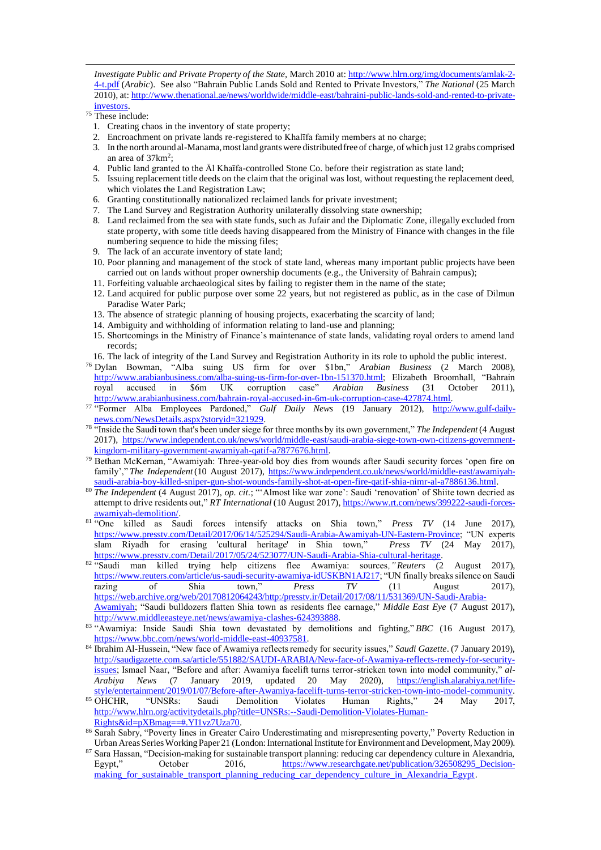*Investigate Public and Private Property of the State,* March 2010 at: [http://www.hlrn.org/img/documents/amlak-2-](http://www.hlrn.org/img/documents/amlak-2-4-t.pdf) [4-t.pdf](http://www.hlrn.org/img/documents/amlak-2-4-t.pdf) (*Arabic*). See also "Bahrain Public Lands Sold and Rented to Private Investors," *The National* (25 March 2010), at[: http://www.thenational.ae/news/worldwide/middle-east/bahraini-public-lands-sold-and-rented-to-private](http://www.thenational.ae/news/worldwide/middle-east/bahraini-public-lands-sold-and-rented-to-private-investors)[investors.](http://www.thenational.ae/news/worldwide/middle-east/bahraini-public-lands-sold-and-rented-to-private-investors)

- $75$  These include:
	- 1. Creating chaos in the inventory of state property;
	- 2. Encroachment on private lands re-registered to Khalīfa family members at no charge;
	- 3. In the north around al-Manama, most land grants were distributed free of charge, of which just 12 grabs comprised an area of 37km<sup>2</sup>;
	- 4. Public land granted to the Āl Khaīfa-controlled Stone Co. before their registration as state land;
	- 5. Issuing replacement title deeds on the claim that the original was lost, without requesting the replacement deed, which violates the Land Registration Law;
	- 6. Granting constitutionally nationalized reclaimed lands for private investment;
	- 7. The Land Survey and Registration Authority unilaterally dissolving state ownership;
	- 8. Land reclaimed from the sea with state funds, such as Jufair and the Diplomatic Zone, illegally excluded from state property, with some title deeds having disappeared from the Ministry of Finance with changes in the file numbering sequence to hide the missing files;
	- 9. The lack of an accurate inventory of state land;
	- 10. Poor planning and management of the stock of state land, whereas many important public projects have been carried out on lands without proper ownership documents (e.g., the University of Bahrain campus);
	- 11. Forfeiting valuable archaeological sites by failing to register them in the name of the state;
	- 12. Land acquired for public purpose over some 22 years, but not registered as public, as in the case of Dilmun Paradise Water Park;
	- 13. The absence of strategic planning of housing projects, exacerbating the scarcity of land;
	- 14. Ambiguity and withholding of information relating to land-use and planning;
	- 15. Shortcomings in the Ministry of Finance's maintenance of state lands, validating royal orders to amend land records;
- 16. The lack of integrity of the Land Survey and Registration Authority in its role to uphold the public interest.
- <sup>76</sup> Dylan Bowman, "Alba suing US firm for over \$1bn," *Arabian Business* (2 March 2008), [http://www.arabianbusiness.com/alba-suing-us-firm-for-over-1bn-151370.html;](http://www.arabianbusiness.com/alba-suing-us-firm-for-over-1bn-151370.html) Elizabeth Broomhall, "Bahrain royal accused in \$6m UK corruption case" *Arabian Business* (31 October 2011), [http://www.arabianbusiness.com/bahrain-royal-accused-in-6m-uk-corruption-case-427874.htm](http://www.arabianbusiness.com/bahrain-royal-accused-in-6m-uk-corruption-case-427874.html)l.
- <sup>77</sup> "Former Alba Employees Pardoned," *Gulf Daily News* (19 January 2012), [http://www.gulf-daily](http://www.gulf-daily-news.com/NewsDetails.aspx?storyid=321929)[news.com/NewsDetails.aspx?storyid=321929](http://www.gulf-daily-news.com/NewsDetails.aspx?storyid=321929).
- <sup>78</sup> "Inside the Saudi town that's been under siege for three months by its own government," *The Independent*(4 August 2017), [https://www.independent.co.uk/news/world/middle-east/saudi-arabia-siege-town-own-citizens-government](https://www.independent.co.uk/news/world/middle-east/saudi-arabia-siege-town-own-citizens-government-kingdom-military-government-awamiyah-qatif-a7877676.html)[kingdom-military-government-awamiyah-qatif-a7877676.htm](https://www.independent.co.uk/news/world/middle-east/saudi-arabia-siege-town-own-citizens-government-kingdom-military-government-awamiyah-qatif-a7877676.html)l.
- <sup>79</sup> Bethan McKernan, "Awamiyah: Three-year-old boy dies from wounds after Saudi security forces 'open fire on family'," The Independent (10 August 2017), [https://www.independent.co.uk/news/world/middle-east/awamiyah](https://www.independent.co.uk/news/world/middle-east/awamiyah-saudi-arabia-boy-killed-sniper-gun-shot-wounds-family-shot-at-open-fire-qatif-shia-nimr-al-a7886136.html)[saudi-arabia-boy-killed-sniper-gun-shot-wounds-family-shot-at-open-fire-qatif-shia-nimr-al-a7886136.htm](https://www.independent.co.uk/news/world/middle-east/awamiyah-saudi-arabia-boy-killed-sniper-gun-shot-wounds-family-shot-at-open-fire-qatif-shia-nimr-al-a7886136.html)l.
- <sup>80</sup> *The Independent* (4 August 2017), *op. cit.*; "'Almost like war zone': Saudi 'renovation' of Shiite town decried as attempt to drive residents out," *RT International* (10 August 2017), [https://www.rt.com/news/399222-saudi-forces](https://www.rt.com/news/399222-saudi-forces-awamiyah-demolition/)[awamiyah-demolition/.](https://www.rt.com/news/399222-saudi-forces-awamiyah-demolition/)
- <sup>81</sup> "One killed as Saudi forces intensify attacks on Shia town," *Press TV* (14 June 2017), [https://www.presstv.com/Detail/2017/06/14/525294/Saudi-Arabia-Awamiyah-UN-Eastern-Province;](https://www.presstv.com/Detail/2017/06/14/525294/Saudi-Arabia-Awamiyah-UN-Eastern-Province) "UN experts slam Riyadh for erasing 'cultural heritage' in Shia town," *Press TV* (24 May 2017), [https://www.presstv.com/Detail/2017/05/24/523077/UN-Saudi-Arabia-Shia-cultural-heritag](https://www.presstv.com/Detail/2017/05/24/523077/UN-Saudi-Arabia-Shia-cultural-heritage)e.
- <sup>82</sup> "Saudi man killed trying help citizens flee Awamiya: sources*," Reuters* (2 August 2017), [https://www.reuters.com/article/us-saudi-security-awamiya-idUSKBN1AJ217;](https://www.reuters.com/article/us-saudi-security-awamiya-idUSKBN1AJ217) "UN finally breaks silence on Saudi razing of Shia town," *Press TV* (11 August 2017), [https://web.archive.org/web/20170812064243/http:/presstv.ir/Detail/2017/08/11/531369/UN-Saudi-Arabia-](https://web.archive.org/web/20170812064243/http:/presstv.ir/Detail/2017/08/11/531369/UN-Saudi-Arabia-Awamiyah)[Awamiyah;](https://web.archive.org/web/20170812064243/http:/presstv.ir/Detail/2017/08/11/531369/UN-Saudi-Arabia-Awamiyah) "Saudi bulldozers flatten Shia town as residents flee carnage," *Middle East Eye* (7 August 2017), <http://www.middleeasteye.net/news/awamiya-clashes-624393888>.

- <sup>84</sup> Ibrahim Al-Hussein, "New face of Awamiya reflects remedy for security issues," *Saudi Gazette*. (7 January 2019), [http://saudigazette.com.sa/article/551882/SAUDI-ARABIA/New-face-of-Awamiya-reflects-remedy-for-security](http://saudigazette.com.sa/article/551882/SAUDI-ARABIA/New-face-of-Awamiya-reflects-remedy-for-security-issues)[issues;](http://saudigazette.com.sa/article/551882/SAUDI-ARABIA/New-face-of-Awamiya-reflects-remedy-for-security-issues) Ismael Naar, "Before and after: Awamiya facelift turns terror-stricken town into model community," *al-Arabiya News* (7 January 2019, updated 20 May 2020), [https://english.alarabiya.net/life-](https://english.alarabiya.net/life-style/entertainment/2019/01/07/Before-after-Awamiya-facelift-turns-terror-stricken-town-into-model-community)
- [style/entertainment/2019/01/07/Before-after-Awamiya-facelift-turns-terror-stricken-town-into-model-community](https://english.alarabiya.net/life-style/entertainment/2019/01/07/Before-after-Awamiya-facelift-turns-terror-stricken-town-into-model-community). 85 OHCHR, "UNSRs: Saudi Demolition Violates Human Rights," 24 May 2017, [http://www.hlrn.org/activitydetails.php?title=UNSRs:--Saudi-Demolition-Violates-Human-](http://www.hlrn.org/activitydetails.php?title=UNSRs:--Saudi-Demolition-Violates-Human-Rights&id=pXBmag==#.YI1vz7Uza70)[Rights&id=pXBmag==#.YI1vz7Uza70.](http://www.hlrn.org/activitydetails.php?title=UNSRs:--Saudi-Demolition-Violates-Human-Rights&id=pXBmag==#.YI1vz7Uza70)
- 86 Sarah Sabry, "Poverty lines in Greater Cairo Underestimating and misrepresenting poverty," Poverty Reduction in Urban Areas Series Working Paper 21 (London: International Institute for Environment and Development, May 2009).
- <sup>87</sup> Sara Hassan, "Decision-making for sustainable transport planning: reducing car dependency culture in Alexandria, Egypt," October 2016, https://www.researchgate.net/publication/326508295 Decisionmaking for sustainable transport planning reducing car dependency culture in Alexandria Egypt.

<sup>&</sup>lt;sup>83</sup> "Awamiya: Inside Saudi Shia town devastated by demolitions and fighting," *BBC* (16 August 2017), <https://www.bbc.com/news/world-middle-east-40937581>.